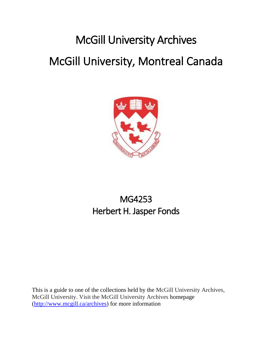# McGill University Archives McGill University, Montreal Canada



## MG4253 Herbert H. Jasper Fonds

This is a guide to one of the collections held by the McGill University Archives, McGill University. Visit the McGill University Archives homepage [\(http://www.mcgill.ca/archives\)](http://www.mcgill.ca/archives) for more information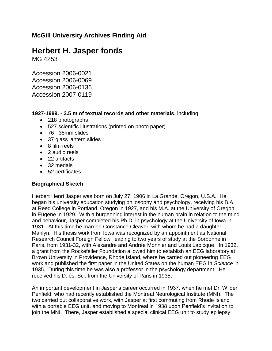#### **McGill University Archives Finding Aid**

### **Herbert H. Jasper fonds**

MG 4253

Accession 2006-0021 Accession 2006-0069 Accession 2006-0136 Accession 2007-0119

#### **1927-1999. - 3.5 m of textual records and other materials,** including

- 218 photographs
- 527 scientific illustrations (printed on photo paper)
- 76 35mm slides
- 37 glass lantern slides
- 8 film reels
- 2 audio reels
- 22 artifacts
- 32 medals
- 52 certificates

#### **Biographical Sketch**

Herbert Henri Jasper was born on July 27, 1906 in La Grande, Oregon, U.S.A. He began his university education studying philosophy and psychology, receiving his B.A. at Reed College in Portland, Oregon in 1927, and his M.A. at the University of Oregon in Eugene in 1929. With a burgeoning interest in the human brain in relation to the mind and behaviour, Jasper completed his Ph.D. in psychology at the University of Iowa in 1931. At this time he married Constance Cleaver, with whom he had a daughter, Marilyn. His thesis work from Iowa was recognized by an appointment as National Research Council Foreign Fellow, leading to two years of study at the Sorbonne in Paris, from 1931-32, with Alexandre and Andrée Monnier and Louis Lapicque. In 1932, a grant from the Rockefeller Foundation allowed him to establish an EEG laboratory at Brown University in Providence, Rhode Island, where he carried out pioneering EEG work and published the first paper in the United States on the human EEG in *Science* in 1935. During this time he was also a professor in the psychology department. He received his D. és. Sci. from the University of Paris in 1935.

An important development in Jasper's career occurred in 1937, when he met Dr. Wilder Penfield, who had recently established the Montreal Neurological Institute (MNI). The two carried out collaborative work, with Jasper at first commuting from Rhode Island with a portable EEG unit, and moving to Montreal in 1938 upon Penfield's invitation to join the MNI. There, Jasper established a special clinical EEG unit to study epilepsy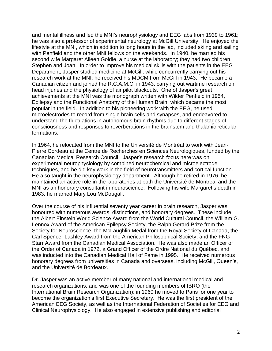and mental illness and led the MNI's neurophysiology and EEG labs from 1939 to 1961; he was also a professor of experimental neurology at McGill University. He enjoyed the lifestyle at the MNI, which in addition to long hours in the lab, included skiing and sailing with Penfield and the other MNI fellows on the weekends. In 1940, he married his second wife Margaret Aileen Goldie, a nurse at the laboratory; they had two children, Stephen and Joan. In order to improve his medical skills with the patients in the EEG Department, Jasper studied medicine at McGill, while concurrently carrying out his research work at the MNI; he received his MDCM from McGill in 1943. He became a Canadian citizen and joined the R.C.A.M.C. in 1943, carrying out wartime research on head injuries and the physiology of air pilot blackouts. One of Jasper's great achievements at the MNI was the monograph written with Wilder Penfield in 1954, Epilepsy and the Functional Anatomy of the Human Brain, which became the most popular in the field. In addition to his pioneering work with the EEG, he used microelectrodes to record from single brain cells and synapses, and endeavored to understand the fluctuations in autonomous brain rhythms due to different stages of consciousness and responses to reverberations in the brainstem and thalamic reticular formations.

In 1964, he relocated from the MNI to the Université de Montréal to work with Jean-Pierre Cordeau at the Centre de Recherches en Sciences Neurologiques, funded by the Canadian Medical Research Council. Jasper's research focus here was on experimental neurophysiology by combined neurochemical and microelectrode techniques, and he did key work in the field of neurotransmitters and cortical function. He also taught in the neurophysiology department. Although he retired in 1976, he maintained an active role in the laboratories at both the Université de Montreal and the MNI as an honorary consultant in neuroscience. Following his wife Margaret's death in 1983, he married Mary Lou McDougall.

Over the course of his influential seventy year career in brain research, Jasper was honoured with numerous awards, distinctions, and honorary degrees. These include the Albert Einstein World Science Award from the World Cultural Council, the William G. Lennox Award of the American Epilepsy Society, the Ralph Gerard Prize from the Society for Neuroscience, the McLaughlin Medal from the Royal Society of Canada, the Carl Spencer Lashley Award from the American Philosophical Society, and the FNG Starr Award from the Canadian Medical Association. He was also made an Officer of the Order of Canada in 1972, a Grand Officer of the Ordre National du Québec, and was inducted into the Canadian Medical Hall of Fame in 1995. He received numerous honorary degrees from universities in Canada and overseas, including McGill, Queen's, and the Université de Bordeaux.

Dr. Jasper was an active member of many national and international medical and research organizations, and was one of the founding members of IBRO (the International Brain Research Organization); in 1960 he moved to Paris for one year to become the organization's first Executive Secretary. He was the first president of the American EEG Society, as well as the International Federation of Societies for EEG and Clinical Neurophysiology. He also engaged in extensive publishing and editorial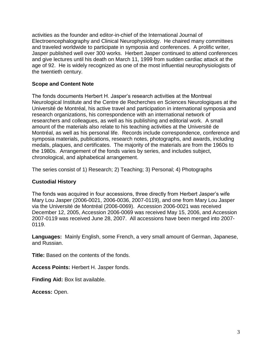activities as the founder and editor-in-chief of the International Journal of Electroencephalography and Clinical Neurophysiology. He chaired many committees and traveled worldwide to participate in symposia and conferences. A prolific writer, Jasper published well over 300 works. Herbert Jasper continued to attend conferences and give lectures until his death on March 11, 1999 from sudden cardiac attack at the age of 92. He is widely recognized as one of the most influential neurophysiologists of the twentieth century.

#### **Scope and Content Note**

The fonds documents Herbert H. Jasper's research activities at the Montreal Neurological Institute and the Centre de Recherches en Sciences Neurologiques at the Université de Montréal, his active travel and participation in international symposia and research organizations, his correspondence with an international network of researchers and colleagues, as well as his publishing and editorial work. A small amount of the materials also relate to his teaching activities at the Université de Montréal, as well as his personal life. Records include correspondence, conference and symposia materials, publications, research notes, photographs, and awards, including medals, plaques, and certificates. The majority of the materials are from the 1960s to the 1980s. Arrangement of the fonds varies by series, and includes subject, chronological, and alphabetical arrangement.

The series consist of 1) Research; 2) Teaching; 3) Personal; 4) Photographs

#### **Custodial History**

The fonds was acquired in four accessions, three directly from Herbert Jasper's wife Mary Lou Jasper (2006-0021, 2006-0036, 2007-0119), and one from Mary Lou Jasper via the Université de Montréal (2006-0069). Accession 2006-0021 was received December 12, 2005, Accession 2006-0069 was received May 15, 2006, and Accession 2007-0119 was received June 28, 2007. All accessions have been merged into 2007- 0119.

**Languages:** Mainly English, some French, a very small amount of German, Japanese, and Russian.

**Title:** Based on the contents of the fonds.

**Access Points:** Herbert H. Jasper fonds.

**Finding Aid:** Box list available.

**Access:** Open.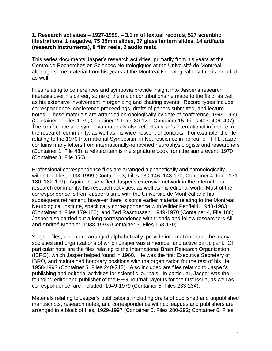#### **1. Research activities – 1927-1999. – 3.1 m of textual records, 527 scientific illustrations, 1 negative, 75 35mm slides, 37 glass lantern slides, 14 artifacts (research instruments), 8 film reels, 2 audio reels.**

This series documents Jasper's research activities, primarily from his years at the Centre de Recherches en Sciences Neurologiques at the Université de Montréal, although some material from his years at the Montreal Neurological Institute is included as well.

Files relating to conferences and symposia provide insight into Jasper's research interests over his career, some of the major contributions he made to the field, as well as his extensive involvement in organizing and chairing events. Record types include correspondence, conference proceedings, drafts of papers submitted, and lecture notes. These materials are arranged chronologically by date of conference, 1949-1999 (Container 1, Files 1-79; Container 2, Files 80-129; Container 15, Files 403, 406, 407). The conference and symposia materials also reflect Jasper's international influence in the research community, as well as his wide network of contacts. For example, the file relating to the 1970 International Symposium in Neuroscience in honour of H. H. Jasper contains many letters from internationally-renowned neurophysiologists and researchers (Container 1, File 48); a related item is the signature book from the same event, 1970 (Container 8, File 356).

Professional correspondence files are arranged alphabetically and chronologically within the files, 1938-1999 (Container 3, Files 130-146, 148-170; Container 4, Files 171- 180, 182-199). Again, these reflect Jasper's extensive network in the international research community, his research activities, as well as his editorial work. Most of the correspondence is from Jasper's time with the Université de Montréal and his subsequent retirement, however there is some earlier material relating to the Montreal Neurological Institute, specifically correspondence with Wilder Penfield, 1948-1983 (Container 4, Files 179-180), and Ted Rasmussen, 1949-1970 (Container 4, File 186). Jasper also carried out a long correspondence with friends and fellow researchers Ali and Andreé Monnier, 1938-1993 (Container 3, Files 168-170).

Subject files, which are arranged alphabetically, provide information about the many societies and organizations of which Jasper was a member and active participant. Of particular note are the files relating to the International Brain Research Organization (IBRO), which Jasper helped found in 1960. He was the first Executive Secretary of IBRO, and maintained honorary positions with the organization for the rest of his life, 1958-1993 (Container 5, Files 240-242). Also included are files relating to Jasper's publishing and editorial activities for scientific journals. In particular, Jasper was the founding editor and publisher of the EEG Journal; layouts for the first issue, as well as correspondence, are included, 1949-1979 (Container 5, Files 233-234).

Materials relating to Jasper's publications, including drafts of published and unpublished manuscripts, research notes, and correspondence with colleagues and publishers are arranged in a block of files, 1929-1997 (Container 5, Files 280-292; Container 6, Files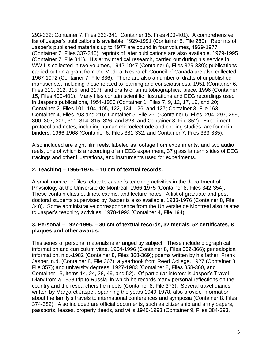293-332; Container 7, Files 333-341; Container 15, Files 400-401). A comprehensive list of Jasper's publications is available, 1929-1991 (Container 5, File 280). Reprints of Jasper's published materials up to 1977 are bound in four volumes, 1929-1977 (Container 7, Files 337-340); reprints of later publications are also available, 1979-1995 (Container 7, File 341). His army medical research, carried out during his service in WWII is collected in two volumes, 1942-1947 (Container 6, Files 329-330); publications carried out on a grant from the Medical Research Council of Canada are also collected, 1967-1972 (Container 7, File 336). There are also a number of drafts of unpublished manuscripts, including those related to learning and consciousness, 1951 (Container 6, Files 310, 312, 315, and 317), and drafts of an autobiographical piece, 1996 (Container 15, Files 400-401). Many files contain scientific illustrations and EEG recordings used in Jasper's publications, 1951-1986 (Container 1, Files 7, 9, 12, 17, 19, and 20; Container 2, Files 101, 104, 105, 122, 124, 126, and 127; Container 3, File 163; Container 4, Files 203 and 216; Container 5, File 261; Container 6, Files, 294, 297, 299, 300, 307, 309, 311, 314, 315, 326, and 328; and Container 8, File 352). Experiment protocol and notes, including human microelectrode and cooling studies, are found in binders, 1966-1968 (Container 6, Files 331-332, and Container 7, Files 333-335).

Also included are eight film reels, labeled as footage from experiments, and two audio reels, one of which is a recording of an EEG experiment, 37 glass lantern slides of EEG tracings and other illustrations, and instruments used for experiments.

#### **2. Teaching – 1966-1975. – 10 cm of textual records.**

A small number of files relate to Jasper's teaching activities in the department of Physiology at the Université de Montréal, 1966-1975 (Container 8, Files 342-354). These contain class outlines, exams, and lecture notes. A list of graduate and postdoctoral students supervised by Jasper is also available, 1933-1976 (Container 8, File 348). Some administrative correspondence from the Universite de Montreal also relates to Jasper's teaching activities, 1978-1993 (Container 4, File 194).

#### **3. Personal – 1927-1996. – 30 cm of textual records, 32 medals, 52 certificates, 8 plaques and other awards.**

This series of personal materials is arranged by subject. These include biographical information and curriculum vitae, 1964-1996 (Container 8, Files 362-366); genealogical information, n.d.-1982 (Container 8, Files 368-369); poems written by his father, Frank Jasper, n.d. (Container 8, File 367), a yearbook from Reed College, 1927 (Container 8, File 357); and university degrees, 1927-1983 (Container 8, Files 358-360, and Container 13, Items 14, 24, 28, 49, and 52). Of particular interest is Jasper's Travel Diary from a 1958 trip to Russia, in which he records many personal reflections on the country and the researchers he meets (Container 8, File 373). Several travel diaries written by Margaret Jasper, spanning the years 1949-1978, also provide information about the family's travels to international conferences and symposia (Container 8, Files 374-382). Also included are official documents, such as citizenship and army papers, passports, leases, property deeds, and wills 1940-1993 (Container 9, Files 384-393,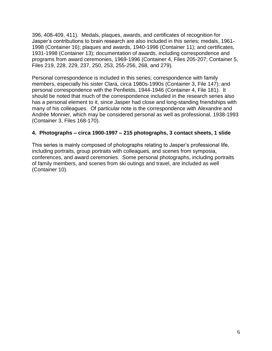396, 408-409, 411). Medals, plaques, awards, and certificates of recognition for Jasper's contributions to brain research are also included in this series; medals, 1961- 1998 (Container 16); plaques and awards, 1940-1996 (Container 11); and certificates, 1931-1998 (Container 13); documentation of awards, including correspondence and programs from award ceremonies, 1969-1996 (Container 4, Files 205-207; Container 5, Files 219, 228, 229, 237, 250, 253, 255-256, 268, and 279).

Personal correspondence is included in this series; correspondence with family members, especially his sister Clara, circa 1980s-1990s (Container 3, File 147); and personal correspondence with the Penfields, 1944-1946 (Container 4, File 181). It should be noted that much of the correspondence included in the research series also has a personal element to it, since Jasper had close and long-standing friendships with many of his colleagues. Of particular note is the correspondence with Alexandre and Andrée Monnier, which may be considered personal as well as professional, 1938-1993 (Container 3, Files 168-170).

#### **4. Photographs – circa 1900-1997 – 215 photographs, 3 contact sheets, 1 slide**

This series is mainly composed of photographs relating to Jasper's professional life, including portraits, group portraits with colleagues, and scenes from symposia, conferences, and award ceremonies. Some personal photographs, including portraits of family members, and scenes from ski outings and travel, are included as well (Container 10).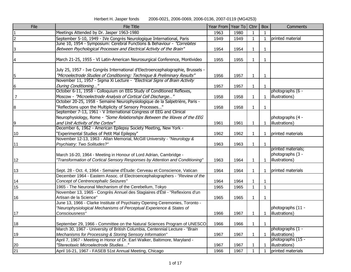| File            | File Title                                                                                                                             | Year From | Year To | Ctnr         | Box            | Comments                            |
|-----------------|----------------------------------------------------------------------------------------------------------------------------------------|-----------|---------|--------------|----------------|-------------------------------------|
|                 | Meetings Attended by Dr. Jasper 1963-1980                                                                                              | 1963      | 1980    | $\mathbf{1}$ | $\mathbf{1}$   |                                     |
| $\overline{2}$  | September 5-10, 1949 - IVe Congrès Neurologique International, Paris                                                                   | 1949      | 1949    | $\mathbf{1}$ | 1              | printed material                    |
|                 | June 10, 1954 - Symposium: Cerebral Functions & Behaviour - "Correlates                                                                |           |         |              |                |                                     |
| 3               | Between Psychological Processes and Electrical Activity of the Brain"                                                                  | 1954      | 1954    | $\mathbf{1}$ | $\mathbf{1}$   |                                     |
|                 |                                                                                                                                        |           |         |              |                |                                     |
| 4               | March 21-25, 1955 - VI Latin-American Neurosurgical Conference, Montivideo                                                             | 1955      | 1955    | $\mathbf{1}$ |                |                                     |
|                 | July 25, 1957 - Ive Congrès International d'Electroencephalographie, Brussels -                                                        |           |         |              |                |                                     |
| 5               | "Microelectrode Studies of Conditioning: Technique & Preliminary Results"                                                              |           | 1957    |              | 1              |                                     |
|                 | November 11, 1957 - Sigma Xi Lecture - "Electrical Signs of Brain Activity                                                             | 1956      |         | $\mathbf{1}$ |                |                                     |
| 16              | During Conditioning"                                                                                                                   | 1957      | 1957    | $\mathbf{1}$ | -1             |                                     |
|                 | October 6-11, 1958 - Colloquium on EEG Study of Conditioned Reflexes,                                                                  |           |         |              |                | photographs (6 -                    |
| 7               | Moscow - "Microelectrode Analysis of Cortical Cell Discharge"                                                                          | 1958      | 1958    | $\mathbf{1}$ |                | illustrations)                      |
|                 | October 20-25, 1958 - Semaine Neurophysiologique de la Salpetrière, Paris -                                                            |           |         |              |                |                                     |
| 8               | "Reflections upon the Multiplicity of Sensory Processes"                                                                               | 1958      | 1958    | $\mathbf{1}$ |                |                                     |
|                 | September 7-13, 1961 - V International Congress of EEG and Clinical                                                                    |           |         |              |                |                                     |
|                 | Neurophysiology, Rome - "Some Relationships Between the Waves of the EEG                                                               |           |         |              |                | photographs (4 -                    |
| 9               | and Unit Activity of the Cortex"                                                                                                       | 1961      | 1961    | $\mathbf{1}$ | 1              | illustrations)                      |
|                 | December 6, 1962 - American Epilepsy Society Meeting, New York -                                                                       |           |         |              |                |                                     |
| 10              | 'Experimental Studies of Petit Mal Epilepsy"                                                                                           | 1962      | 1962    | $\mathbf{1}$ |                | printed materials                   |
|                 | November 12-13, 1963 - Allan Memorial, McGill University - "Neurology &                                                                |           |         |              |                |                                     |
| 11              | Psychiatry: Two Solitudes?"                                                                                                            | 1963      | 1963    | $\mathbf{1}$ | 1              |                                     |
|                 |                                                                                                                                        |           |         |              |                | printed materials;                  |
|                 | March 16-20, 1964 - Meeting in Honour of Lord Adrian, Cambridge -                                                                      |           |         |              |                | photographs (3 -                    |
| 12              | "Transformation of Cortical Sensory Responses by Attention and Conditioning"                                                           | 1963      | 1964    | $\mathbf{1}$ |                | illustrations)                      |
| 13              | Sept. 28 - Oct. 4, 1964 - Semaine d'Étude: Cerveau et Conscience, Vatican                                                              | 1964      | 1964    | $\mathbf{1}$ |                | printed materials                   |
|                 | December 1964 - Eastern Assoc. of Electroencephalographers - "Review of the                                                            |           |         |              |                |                                     |
| 14              | Concept of Centrencephalic Seizures"                                                                                                   | 1964      | 1964    | $\mathbf{1}$ | 1              |                                     |
| 15              | 1965 - The Neuronal Mechanism of the Cerebellum, Tokyo                                                                                 | 1965      | 1965    | $\mathbf{1}$ | $\mathbf{1}$   |                                     |
|                 | November 13, 1965 - Congrès Annuel des Stagiaires d'Été - "Reflexions d'un                                                             |           |         |              |                |                                     |
| 16              | Artisan de la Science"                                                                                                                 | 1965      | 1965    | $\mathbf{1}$ | 1              |                                     |
|                 | June 13, 1966 - Clarke Institute of Psychiatry Opening Ceremonies, Toronto -                                                           |           |         |              |                |                                     |
|                 | "Neurophysiological Mechanisms of Perceptual Experience & States of                                                                    |           |         |              |                | photographs (11 -                   |
| 17              | Consciousness"                                                                                                                         | 1966      | 1967    | $\mathbf{1}$ | $\overline{1}$ | illustrations)                      |
|                 |                                                                                                                                        |           |         |              |                |                                     |
| 18              | September 29, 1966 - Committee on the Natural Sciences Program of UNESCO                                                               | 1966      | 1966    | $\mathbf{1}$ |                |                                     |
|                 | March 30, 1967 - University of British Columbia, Centennial Lecture - "Brain                                                           |           |         |              |                | photographs (1 -                    |
| 19              | Mechanisms for Processing & Storing Sensory Information"<br>April 7, 1967 - Meeting in Honor of Dr. Earl Walker, Baltimore, Maryland - | 1967      | 1967    | $\mathbf{1}$ | $\mathbf{1}$   | illustrations)<br>photographs (15 - |
| 20              | "Stereotaxic Microelectrode Studies"                                                                                                   | 1967      | 1967    | 1            | -1             | illustrations)                      |
| $\overline{21}$ |                                                                                                                                        | 1966      | 1967    | $\mathbf{1}$ |                | printed materials                   |
|                 | April 16-21, 1967 - FASEB 51st Annual Meeting, Chicago                                                                                 |           |         |              | $\mathbf{1}$   |                                     |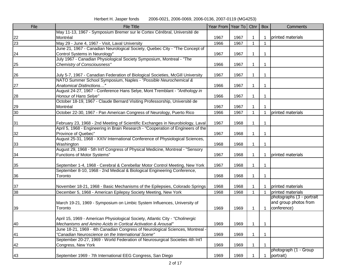| File | <b>File Title</b>                                                                           | Year From Year To |      | Ctnr         | Box            | Comments                  |
|------|---------------------------------------------------------------------------------------------|-------------------|------|--------------|----------------|---------------------------|
|      | May 11-13, 1967 - Symposium Bremer sur le Cortex Cérébral, Université de                    |                   |      |              |                |                           |
| 22   | Montréal                                                                                    | 1967              | 1967 | 1            | -1             | printed materials         |
| 23   | May 29 - June 4, 1967 - Visit, Laval University                                             | 1966              | 1967 | $\mathbf{1}$ | $\overline{1}$ |                           |
|      | June 21, 1967 - Canadian Neurological Society, Quebec City - "The Concept of                |                   |      |              |                |                           |
| 24   | Control Systems in Neurology"                                                               | 1967              | 1967 | 1            | 1              |                           |
|      | July 1967 - Canadian Physiological Society Symposium, Montreal - "The                       |                   |      |              |                |                           |
| 25   | <b>Chemistry of Consciousness"</b>                                                          | 1966              | 1967 | 1            | 1              |                           |
| 26   | July 5-7, 1967 - Canadian Federation of Biological Societies, McGill University             | 1967              | 1967 | 1            | 1              |                           |
|      | NATO Summer School Symposium, Naples - "Possible Neurochemical &                            |                   |      |              |                |                           |
| 27   | Anatomical Distinctions"                                                                    | 1966              | 1967 | 1            | 1              |                           |
|      | August 24-27, 1967 - Conference Hans Selye, Mont Tremblant - "Anthology in                  |                   |      |              |                |                           |
| 28   | Honour of Hans Selye"                                                                       | 1966              | 1967 | 1            | 1              |                           |
|      | October 18-19, 1967 - Claude Bernard Visiting Professorship, Université de                  |                   |      |              |                |                           |
| 29   | Montréal                                                                                    | 1967              | 1967 |              | -1             |                           |
| 30   | October 22-30, 1967 - Pan American Congress of Neurology, Puerto Rico                       | 1966              | 1967 | 1            | $\overline{1}$ | printed materials         |
|      |                                                                                             |                   |      |              |                |                           |
| 31   | February 23, 1968 - 2nd Meeting of Scientific Exchanges in Neurobiology, Laval              | 1967              | 1968 | 1            | 1              |                           |
|      | April 5, 1968 - Engineering in Brain Research - "Cooperation of Engineers of the            |                   |      |              |                |                           |
| 32   | Province of Quebec"                                                                         | 1967              | 1968 | 1            | 1              |                           |
| 33   | August 25-31, 1968 - XXIV International Conference of Physiological Sciences,<br>Washington | 1968              | 1968 | 1            | 1              |                           |
|      | August 29, 1968 - 5th Int'l Congress of Physical Medicine, Montreal - "Sensory              |                   |      |              |                |                           |
| 34   | Functions of Motor Systems"                                                                 | 1967              | 1968 | 1            | -1             | printed materials         |
|      |                                                                                             |                   |      |              |                |                           |
| 35   | September 1-4, 1968 - Cerebral & Cerebellar Motor Control Meeting, New York                 | 1967              | 1968 | 1            | -1             |                           |
|      | September 8-10, 1968 - 2nd Medical & Biological Engineering Conference,                     |                   |      |              |                |                           |
| 36   | Toronto                                                                                     | 1968              | 1968 | 1            | 1              |                           |
|      |                                                                                             |                   |      |              |                |                           |
| 37   | November 18-21, 1968 - Basic Mechanisms of the Epilepsies, Colorado Springs                 | 1968              | 1968 | 1            | $\overline{1}$ | printed materials         |
| 38   | December 5, 1968 - American Epilepsy Society Meeting, New York                              | 1968              | 1968 | $\mathbf{1}$ | $\overline{1}$ | printed materials         |
|      |                                                                                             |                   |      |              |                | photographs (3 - portrait |
|      | March 19-21, 1969 - Symposium on Limbic System Influences, University of                    |                   |      |              |                | and group photos from     |
| 39   | Toronto                                                                                     | 1969              | 1969 | 1            | $\overline{1}$ | conference)               |
|      |                                                                                             |                   |      |              |                |                           |
|      | April 15, 1969 - American Physiological Society, Atlantic City - "Cholinergic               |                   |      |              |                |                           |
| 40   | Mechanisms and Amino Acids in Cortical Activation & Arousal                                 | 1969              | 1969 | 1            |                |                           |
|      | June 18-21, 1969 - 4th Canadian Congress of Neurological Sciences, Montreal -               |                   |      |              |                |                           |
| 41   | "Canadian Neuroscience on the International Scene"                                          | 1969              | 1969 |              | -1             |                           |
|      | September 20-27, 1969 - World Federation of Neurosurgical Societies 4th Int'l               |                   |      |              |                |                           |
| 42   | Congress, New York                                                                          | 1969              | 1969 |              | -1             | photograph (1 - Group     |
|      |                                                                                             |                   |      |              |                | portrait)                 |
| 43   | September 1969 - 7th International EEG Congress, San Diego                                  | 1969              | 1969 |              | -1             |                           |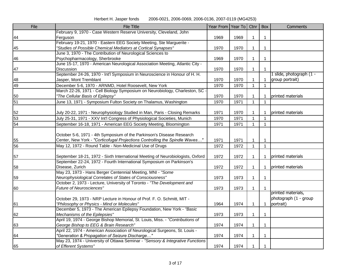| Herbert H. Jasper fonds | 2006-0021, 2006-0069, 2006-0136, 2007-0119 (MG4253) |  |
|-------------------------|-----------------------------------------------------|--|
|-------------------------|-----------------------------------------------------|--|

| File | File Title                                                                     | Year From   Year To |      | Ctnr         | Box            | <b>Comments</b>          |
|------|--------------------------------------------------------------------------------|---------------------|------|--------------|----------------|--------------------------|
|      | February 9, 1970 - Case Western Reserve University, Cleveland, John            |                     |      |              |                |                          |
| 44   | Ferguson                                                                       | 1969                | 1969 | 1            | 1              |                          |
|      | February 19-21, 1970 - Eastern EEG Society Meeting, Ste Marguerite -           |                     |      |              |                |                          |
| 45   | "Studies of Possible Chemical Mediators at Cortical Synapses"                  | 1970                | 1970 | 1            | 1              |                          |
|      | June 3, 1970 - The Contribution of Neurological Sciences to                    |                     |      |              |                |                          |
| 46   | Psychopharmacology, Sherbrooke                                                 | 1969                | 1970 | 1            | 1              |                          |
|      | June 15-17, 1970 - American Neurological Association Meeting, Atlantic City -  |                     |      |              |                |                          |
| 47   | Discussion                                                                     | 1970                | 1970 | 1            | 1              |                          |
|      | September 24-26, 1970 - Int'l Symposium in Neuroscience in Honour of H. H.     |                     |      |              |                | 1 slide, photograph (1 - |
| 48   | Jasper, Mont Tremblant                                                         | 1970                | 1970 |              | -1             | group portrait)          |
| 49   | December 5-6, 1970 - ARNMD, Hotel Roosevelt, New York                          | 1970                | 1970 | $\mathbf{1}$ | $\overline{1}$ |                          |
|      | March 22-26, 1971 - Cell Biology Symposium on Neurobiology, Charleston, SC -   |                     |      |              |                |                          |
| 50   | "The Cellular Basis of Epilepsy"                                               | 1970                | 1970 |              |                | printed materials        |
| 51   | June 13, 1971 - Symposium Fulton Society on Thalamus, Washington               | 1970                | 1971 | $\mathbf 1$  | $\mathbf{1}$   |                          |
|      |                                                                                |                     |      |              |                |                          |
| 52   | July 20-22, 1971 - Neurophysiology Studied in Man, Paris - Closing Remarks     | 1971                | 1970 | 1            | 1              | printed materials        |
| 53   | July 25-31, 1971 - XXV Int'l Congress of Physiological Societies, Munich       | 1970                | 1971 | 1            | $\overline{1}$ |                          |
| 54   | September 16-18, 1971 - American EEG Society Meeting, Bloomington              | 1971                | 1971 | $\mathbf{1}$ | $\mathbf{1}$   |                          |
|      |                                                                                |                     |      |              |                |                          |
|      | October 5-6, 1971 - 4th Symposium of the Parkinson's Disease Research          |                     |      |              |                |                          |
| 55   | Center, New York - "Corticofugal Projections Controlling the Spindle Waves"    | 1971                | 1971 | 1            | $\mathbf{1}$   |                          |
| 56   | May 12, 1972 - Round Table - Non-Medicinal Use of Drugs                        | 1972                | 1972 | $\mathbf{1}$ | $\mathbf{1}$   |                          |
|      |                                                                                |                     |      |              |                |                          |
| 57   | September 18-21, 1972 - Sixth International Meeting of Neurobiologists, Oxford | 1972                | 1972 | 1            | $\mathbf{1}$   | printed materials        |
|      | September 22-24, 1972 - Fourth International Symposium on Parkinson's          |                     |      |              |                |                          |
| 58   | Disease, Zurich                                                                | 1972                | 1972 |              |                | printed materials        |
|      | May 23, 1973 - Hans Berger Centennial Meeting, MNI - "Some                     |                     |      |              |                |                          |
| 59   | Neurophysiological Correlates of States of Consciousness"                      | 1973                | 1973 | 1            | 1              |                          |
|      | October 2, 1973 - Lecture, University of Toronto - "The Development and        |                     |      |              |                |                          |
| 60   | <b>Future of Neurosciences"</b>                                                | 1973                | 1973 | $\mathbf 1$  | $\overline{1}$ |                          |
|      |                                                                                |                     |      |              |                | printed materials,       |
|      | October 29, 1973 - NRP Lecture in Honour of Prof. F. O. Schmitt, MIT -         |                     |      |              |                | photograph (1 - group    |
| 61   | "Philosophy or Physics - Mind or Molecules"                                    | 1964                | 1974 |              | $\mathbf{1}$   | portrait)                |
|      | December 5, 1973 - The American Epilepsy Foundation, New York - "Basic         |                     |      |              |                |                          |
| 62   | Mechanisms of the Epilepsies"                                                  | 1973                | 1973 | 1.           | $\mathbf{1}$   |                          |
|      | April 19, 1974 - George Bishop Memorial, St. Louis, Miss. - "Contributions of  |                     |      |              |                |                          |
| 63   | George Bishop to EEG & Brain Research"                                         | 1974                | 1974 | 1            | $\mathbf 1$    |                          |
|      | April 22, 1974 - American Association of Neurological Surgeons, St. Louis -    |                     |      |              |                |                          |
| 64   | "Generation & Propagation of Seizure Discharge"                                | 1974                | 1974 | 1.           | 1              |                          |
|      | May 23, 1974 - University of Ottawa Seminar - "Sensory & Integrative Functions |                     |      |              |                |                          |
| 65   | of Efferent Systems"                                                           | 1974                | 1974 |              |                |                          |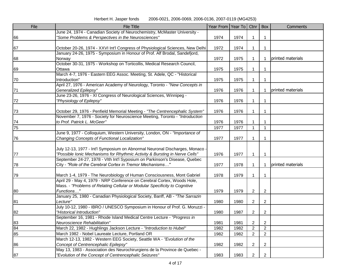| Herbert H. Jasper fonds | 2006-0021, 2006-0069, 2006-0136, 2007-0119 (MG4253) |  |
|-------------------------|-----------------------------------------------------|--|
|-------------------------|-----------------------------------------------------|--|

| File | <b>File Title</b>                                                              | Year From Year To |      | Ctnr           | Box                     | Comments          |
|------|--------------------------------------------------------------------------------|-------------------|------|----------------|-------------------------|-------------------|
|      | June 24, 1974 - Canadian Society of Neurochemistry, McMaster University -      |                   |      |                |                         |                   |
| 66   | "Some Problems & Perspectives in the Neurosciences"                            | 1974              | 1974 |                |                         |                   |
|      |                                                                                |                   |      |                |                         |                   |
| 67   | October 20-26, 1974 - XXVI Int'l Congress of Physiological Sciences, New Delhi | 1972              | 1974 |                |                         |                   |
|      | January 24-26, 1975 - Symposium in Honour of Prof. Alf Brodal, Sandefjord,     |                   |      |                |                         |                   |
| 68   | Norway                                                                         | 1972              | 1975 |                | -1                      | printed materials |
|      | October 30-31, 1975 - Workshop on Torticollis, Medical Research Council,       |                   |      |                |                         |                   |
| 69   | Ottawa                                                                         | 1975              | 1975 |                | -1                      |                   |
|      | March 4-7, 1976 - Eastern EEG Assoc. Meeting, St. Adele, QC - "Historical      |                   |      |                |                         |                   |
| 70   | Introduction"                                                                  | 1975              | 1975 |                |                         |                   |
|      | April 27, 1976 - American Academy of Neurology, Toronto - "New Concepts in     |                   |      |                |                         |                   |
| 71   | Generalized Epilepsy"                                                          | 1976              | 1976 |                |                         | printed materials |
|      | June 23-26, 1976 - XI Congress of Neurological Sciences, Winnipeg -            |                   |      |                |                         |                   |
| 72   | "Physiology of Epilepsy"                                                       | 1976              | 1976 |                | -1                      |                   |
|      |                                                                                |                   |      |                |                         |                   |
| 73   | October 29, 1976 - Penfield Memorial Meeting - "The Centrencephalic System"    | 1976              | 1976 |                | -1                      |                   |
|      | November 7, 1976 - Society for Neuroscience Meeting, Toronto - "Introduction   |                   |      |                |                         |                   |
| 74   | to Prof. Patrick L. McGeer"                                                    | 1976              | 1976 |                |                         |                   |
| 75   |                                                                                | 1977              | 1977 |                | 1                       |                   |
|      | June 9, 1977 - Colloquium, Western University, London, ON - "Importance of     |                   |      |                |                         |                   |
| 76   | Changing Concepts of Functional Localization"                                  | 1977              | 1977 |                | 1                       |                   |
|      |                                                                                |                   |      |                |                         |                   |
|      | July 12-13, 1977 - Int'l Symposium on Abnormal Neuronal Discharges, Monaco -   |                   |      |                |                         |                   |
| 77   | "Possible Ionic Mechanisms for Rhythmic Activity & Bursting in Nerve Cells"    | 1976              | 1977 |                |                         |                   |
|      | September 24-27, 1978 - Vlth Int'l Syposium on Parkinson's Disease, Quebec     |                   |      |                |                         |                   |
| 78   | City - "Role of the Cerebral Cortex in Tremor Mechanisms"                      | 1977              | 1978 |                |                         | printed materials |
|      |                                                                                |                   |      |                |                         |                   |
| 79   | March 1-4, 1979 - The Neurobiology of Human Consciousness, Mont Gabriel        | 1978              | 1979 |                | -1                      |                   |
|      | April 29 - May 4, 1979 - NRP Conference on Cerebral Cortex, Woods Hole,        |                   |      |                |                         |                   |
|      | Mass. - "Problems of Relating Cellular or Modular Specificity to Cognitive     |                   |      |                |                         |                   |
| 80   | Functions"                                                                     | 1979              | 1979 | 2              | $\overline{2}$          |                   |
|      | January 25, 1980 - Canadian Physiological Society, Banff, AB - "The Sarrazin   |                   |      |                |                         |                   |
| 81   | Lecture"                                                                       | 1980              | 1980 | 2              | 2                       |                   |
|      | July 10-12, 1980 - IBRO / UNESCO Symposium in Honour of Prof. G. Moruzzi -     |                   |      |                |                         |                   |
| 82   | "Historical Introduction"                                                      | 1980              | 1987 | $\overline{c}$ | 2                       |                   |
|      | September 16, 1981 - Rhode Island Medical Centre Lecture - "Progress in        |                   |      |                |                         |                   |
| 83   | Neuroscience Rehabilitation"                                                   | 1981              | 1981 | $\overline{c}$ | $\overline{\mathbf{c}}$ |                   |
| 84   | March 22, 1982 - Hughlings Jackson Lecture - "Introduction to Hubel"           | 1982              | 1982 | 2              | 2                       |                   |
| 85   | March 1982 - Nobel Laureate Lecture, Portland OR                               | 1982              | 1982 | $\overline{2}$ | 2                       |                   |
|      | March 12-13, 1982 - Western EEG Society, Seattle WA - "Evolution of the        |                   |      |                |                         |                   |
| 86   | Concept of Centrencephalic Epilepsy"                                           | 1982              | 1982 | $\overline{c}$ | $\overline{2}$          |                   |
|      | May 13, 1983 - Association des Neurochirurgiens de la Province de Quebec -     |                   |      |                |                         |                   |
| 87   | "Evolution of the Concept of Centrencephalic Seizures"                         | 1983              | 1983 | $\overline{2}$ | $\overline{2}$          |                   |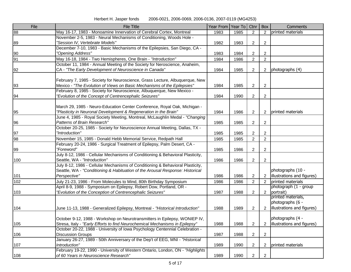| Herbert H. Jasper fonds | 2006-0021, 2006-0069, 2006-0136, 2007-0119 (MG4253) |  |  |  |  |
|-------------------------|-----------------------------------------------------|--|--|--|--|
|-------------------------|-----------------------------------------------------|--|--|--|--|

| May 16-17, 1983 - Monoamine Innervation of Cerebral Cortex, Montreal<br>printed materials<br>1985<br>$\overline{2}$<br>1983<br>$\overline{2}$<br>November 2-5, 1983 - Neural Mechanisms of Conditioning, Woods Hole -<br>"Session IV, Vertebrate Models"<br>$\overline{c}$<br>1982<br>1983<br>$\overline{2}$<br>December 7-10, 1983 - Basic Mechanisms of the Epilepsies, San Diego, CA -<br>"Opening Address"<br>1983<br>1984<br>$\overline{c}$<br>2<br>$\overline{2}$<br>$\overline{2}$<br>May 16-18, 1984 - Two Hemispheres, One Brain - "Introduction"<br>1984<br>1986<br>October 11, 1984 - Annual Meeting of the Society for Neroscience, Anaheim,<br>photographs (4)<br>CA - "The Early Development of Neuroscience in Canada"<br>1985<br>$\overline{2}$<br>1984<br>2<br>February 7, 1985 - Society for Neuroscience, Grass Lecture, Albuquerque, New<br>Mexico - "The Evolution of Views on Basic Mechanisms of the Epilepsies"<br>1984<br>1985<br>$\overline{2}$<br>$\overline{2}$<br>February 8, 1985 - Society for Neuroscience, Albuquerque, New Mexico -<br>"Evolution of the Concept of Centrencephalic Seizures"<br>$\overline{2}$<br>1984<br>1990<br>2<br>March 29, 1985 - Neuro-Education Center Conference, Royal Oak, Michigan -<br>"Plasticity in Neuronal Development & Regeneration in the Brain"<br>1984<br>1986<br>$\overline{2}$<br>printed materials<br>95<br>2<br>June 4, 1985 - Royal Society Meeting, Montreal, McLaughlin Medal - "Changing<br>Patterns of Brain Research"<br>96<br>1985<br>1985<br>$\overline{2}$<br>2<br>October 20-25, 1985 - Society for Neuroscience Annual Meeting, Dallas, TX -<br>97<br>"Introduction"<br>1985<br>1985<br>$\overline{2}$<br>2<br>November 15, 1985 - Donald Hebb Memorial Service, Redpath Hall<br>$\overline{2}$<br>$\overline{2}$<br>98<br>1985<br>1985<br>February 20-24, 1986 - Surgical Treatment of Epilepsy, Palm Desert, CA -<br>"Foreword"<br>99<br>$\overline{2}$<br>2<br>1985<br>1986<br>July 8-12, 1986 - Cellular Mechanisms of Conditioning & Behavioral Plasticity,<br>$\overline{2}$<br>Seattle, WA - "Introduction"<br>1986<br>1986<br>2<br>100<br>July 8-12, 1986 - Cellular Mechanisms of Conditioning & Behavioral Plasticity,<br>photographs (10 -<br>Seattle, WA - "Conditioning & Habituation of the Arousal Response: Historical<br>illustrations and figures)<br>Perspective"<br>1986<br>1986<br>$\overline{c}$<br>101<br>2<br>$\overline{2}$<br>printed materials<br>102<br>July 21-23, 1986 - From Molecules to Mind, 80th Birthday Symposium<br>$\overline{2}$<br>1986<br>1986<br>photograph (1 - group<br>April 8-9, 1988 - Symposium on Epilepsy, Robert Dow, Portland, OR -<br>portrait)<br>103<br>"Evolution of the Conception of Centrencephalic Seizures"<br>1988<br>$\overline{2}$<br>2<br>1987<br>printed materials,<br>photographs (6 -<br>2 <b>illustrations</b> and figures)<br>$\overline{c}$<br>1989<br>104<br>June 11-13, 1988 - Generalized Epilepsy, Montreal - "Historical Introduction"<br>1988<br>photographs (4 -<br>October 9-12, 1988 - Workshop on Neurotransmitters in Epilepsy, WONIEP IV,<br>illustrations and figures)<br>Stresa, Italy - "Early Efforts to find Neurochemical Mechanisms in Epilepsy"<br>105<br>1988<br>1988<br>2<br>October 20-22, 1988 - University of Iowa Psychology Centennial Celebration -<br><b>Discussion Groups</b><br>1987<br>1988<br>$\overline{2}$<br>$\overline{2}$<br>106<br>January 26-27, 1989 - 50th Anniversary of the Dep't of EEG, MNI - "Historical | File | <b>File Title</b> | Year From Year To |      | Ctnr | Box | Comments          |
|-------------------------------------------------------------------------------------------------------------------------------------------------------------------------------------------------------------------------------------------------------------------------------------------------------------------------------------------------------------------------------------------------------------------------------------------------------------------------------------------------------------------------------------------------------------------------------------------------------------------------------------------------------------------------------------------------------------------------------------------------------------------------------------------------------------------------------------------------------------------------------------------------------------------------------------------------------------------------------------------------------------------------------------------------------------------------------------------------------------------------------------------------------------------------------------------------------------------------------------------------------------------------------------------------------------------------------------------------------------------------------------------------------------------------------------------------------------------------------------------------------------------------------------------------------------------------------------------------------------------------------------------------------------------------------------------------------------------------------------------------------------------------------------------------------------------------------------------------------------------------------------------------------------------------------------------------------------------------------------------------------------------------------------------------------------------------------------------------------------------------------------------------------------------------------------------------------------------------------------------------------------------------------------------------------------------------------------------------------------------------------------------------------------------------------------------------------------------------------------------------------------------------------------------------------------------------------------------------------------------------------------------------------------------------------------------------------------------------------------------------------------------------------------------------------------------------------------------------------------------------------------------------------------------------------------------------------------------------------------------------------------------------------------------------------------------------------------------------------------------------------------------------------------------------------------------------------------------------------------------------------------------------------------------------------------------------------------------------------------------------------------------------------------------------------------------------------------------------------------------------------------------------|------|-------------------|-------------------|------|------|-----|-------------------|
|                                                                                                                                                                                                                                                                                                                                                                                                                                                                                                                                                                                                                                                                                                                                                                                                                                                                                                                                                                                                                                                                                                                                                                                                                                                                                                                                                                                                                                                                                                                                                                                                                                                                                                                                                                                                                                                                                                                                                                                                                                                                                                                                                                                                                                                                                                                                                                                                                                                                                                                                                                                                                                                                                                                                                                                                                                                                                                                                                                                                                                                                                                                                                                                                                                                                                                                                                                                                                                                                                                                         | 88   |                   |                   |      |      |     |                   |
|                                                                                                                                                                                                                                                                                                                                                                                                                                                                                                                                                                                                                                                                                                                                                                                                                                                                                                                                                                                                                                                                                                                                                                                                                                                                                                                                                                                                                                                                                                                                                                                                                                                                                                                                                                                                                                                                                                                                                                                                                                                                                                                                                                                                                                                                                                                                                                                                                                                                                                                                                                                                                                                                                                                                                                                                                                                                                                                                                                                                                                                                                                                                                                                                                                                                                                                                                                                                                                                                                                                         |      |                   |                   |      |      |     |                   |
|                                                                                                                                                                                                                                                                                                                                                                                                                                                                                                                                                                                                                                                                                                                                                                                                                                                                                                                                                                                                                                                                                                                                                                                                                                                                                                                                                                                                                                                                                                                                                                                                                                                                                                                                                                                                                                                                                                                                                                                                                                                                                                                                                                                                                                                                                                                                                                                                                                                                                                                                                                                                                                                                                                                                                                                                                                                                                                                                                                                                                                                                                                                                                                                                                                                                                                                                                                                                                                                                                                                         | 89   |                   |                   |      |      |     |                   |
|                                                                                                                                                                                                                                                                                                                                                                                                                                                                                                                                                                                                                                                                                                                                                                                                                                                                                                                                                                                                                                                                                                                                                                                                                                                                                                                                                                                                                                                                                                                                                                                                                                                                                                                                                                                                                                                                                                                                                                                                                                                                                                                                                                                                                                                                                                                                                                                                                                                                                                                                                                                                                                                                                                                                                                                                                                                                                                                                                                                                                                                                                                                                                                                                                                                                                                                                                                                                                                                                                                                         |      |                   |                   |      |      |     |                   |
|                                                                                                                                                                                                                                                                                                                                                                                                                                                                                                                                                                                                                                                                                                                                                                                                                                                                                                                                                                                                                                                                                                                                                                                                                                                                                                                                                                                                                                                                                                                                                                                                                                                                                                                                                                                                                                                                                                                                                                                                                                                                                                                                                                                                                                                                                                                                                                                                                                                                                                                                                                                                                                                                                                                                                                                                                                                                                                                                                                                                                                                                                                                                                                                                                                                                                                                                                                                                                                                                                                                         | 90   |                   |                   |      |      |     |                   |
|                                                                                                                                                                                                                                                                                                                                                                                                                                                                                                                                                                                                                                                                                                                                                                                                                                                                                                                                                                                                                                                                                                                                                                                                                                                                                                                                                                                                                                                                                                                                                                                                                                                                                                                                                                                                                                                                                                                                                                                                                                                                                                                                                                                                                                                                                                                                                                                                                                                                                                                                                                                                                                                                                                                                                                                                                                                                                                                                                                                                                                                                                                                                                                                                                                                                                                                                                                                                                                                                                                                         | 91   |                   |                   |      |      |     |                   |
|                                                                                                                                                                                                                                                                                                                                                                                                                                                                                                                                                                                                                                                                                                                                                                                                                                                                                                                                                                                                                                                                                                                                                                                                                                                                                                                                                                                                                                                                                                                                                                                                                                                                                                                                                                                                                                                                                                                                                                                                                                                                                                                                                                                                                                                                                                                                                                                                                                                                                                                                                                                                                                                                                                                                                                                                                                                                                                                                                                                                                                                                                                                                                                                                                                                                                                                                                                                                                                                                                                                         |      |                   |                   |      |      |     |                   |
|                                                                                                                                                                                                                                                                                                                                                                                                                                                                                                                                                                                                                                                                                                                                                                                                                                                                                                                                                                                                                                                                                                                                                                                                                                                                                                                                                                                                                                                                                                                                                                                                                                                                                                                                                                                                                                                                                                                                                                                                                                                                                                                                                                                                                                                                                                                                                                                                                                                                                                                                                                                                                                                                                                                                                                                                                                                                                                                                                                                                                                                                                                                                                                                                                                                                                                                                                                                                                                                                                                                         | 92   |                   |                   |      |      |     |                   |
|                                                                                                                                                                                                                                                                                                                                                                                                                                                                                                                                                                                                                                                                                                                                                                                                                                                                                                                                                                                                                                                                                                                                                                                                                                                                                                                                                                                                                                                                                                                                                                                                                                                                                                                                                                                                                                                                                                                                                                                                                                                                                                                                                                                                                                                                                                                                                                                                                                                                                                                                                                                                                                                                                                                                                                                                                                                                                                                                                                                                                                                                                                                                                                                                                                                                                                                                                                                                                                                                                                                         |      |                   |                   |      |      |     |                   |
|                                                                                                                                                                                                                                                                                                                                                                                                                                                                                                                                                                                                                                                                                                                                                                                                                                                                                                                                                                                                                                                                                                                                                                                                                                                                                                                                                                                                                                                                                                                                                                                                                                                                                                                                                                                                                                                                                                                                                                                                                                                                                                                                                                                                                                                                                                                                                                                                                                                                                                                                                                                                                                                                                                                                                                                                                                                                                                                                                                                                                                                                                                                                                                                                                                                                                                                                                                                                                                                                                                                         |      |                   |                   |      |      |     |                   |
|                                                                                                                                                                                                                                                                                                                                                                                                                                                                                                                                                                                                                                                                                                                                                                                                                                                                                                                                                                                                                                                                                                                                                                                                                                                                                                                                                                                                                                                                                                                                                                                                                                                                                                                                                                                                                                                                                                                                                                                                                                                                                                                                                                                                                                                                                                                                                                                                                                                                                                                                                                                                                                                                                                                                                                                                                                                                                                                                                                                                                                                                                                                                                                                                                                                                                                                                                                                                                                                                                                                         | 93   |                   |                   |      |      |     |                   |
|                                                                                                                                                                                                                                                                                                                                                                                                                                                                                                                                                                                                                                                                                                                                                                                                                                                                                                                                                                                                                                                                                                                                                                                                                                                                                                                                                                                                                                                                                                                                                                                                                                                                                                                                                                                                                                                                                                                                                                                                                                                                                                                                                                                                                                                                                                                                                                                                                                                                                                                                                                                                                                                                                                                                                                                                                                                                                                                                                                                                                                                                                                                                                                                                                                                                                                                                                                                                                                                                                                                         |      |                   |                   |      |      |     |                   |
|                                                                                                                                                                                                                                                                                                                                                                                                                                                                                                                                                                                                                                                                                                                                                                                                                                                                                                                                                                                                                                                                                                                                                                                                                                                                                                                                                                                                                                                                                                                                                                                                                                                                                                                                                                                                                                                                                                                                                                                                                                                                                                                                                                                                                                                                                                                                                                                                                                                                                                                                                                                                                                                                                                                                                                                                                                                                                                                                                                                                                                                                                                                                                                                                                                                                                                                                                                                                                                                                                                                         | 94   |                   |                   |      |      |     |                   |
|                                                                                                                                                                                                                                                                                                                                                                                                                                                                                                                                                                                                                                                                                                                                                                                                                                                                                                                                                                                                                                                                                                                                                                                                                                                                                                                                                                                                                                                                                                                                                                                                                                                                                                                                                                                                                                                                                                                                                                                                                                                                                                                                                                                                                                                                                                                                                                                                                                                                                                                                                                                                                                                                                                                                                                                                                                                                                                                                                                                                                                                                                                                                                                                                                                                                                                                                                                                                                                                                                                                         |      |                   |                   |      |      |     |                   |
|                                                                                                                                                                                                                                                                                                                                                                                                                                                                                                                                                                                                                                                                                                                                                                                                                                                                                                                                                                                                                                                                                                                                                                                                                                                                                                                                                                                                                                                                                                                                                                                                                                                                                                                                                                                                                                                                                                                                                                                                                                                                                                                                                                                                                                                                                                                                                                                                                                                                                                                                                                                                                                                                                                                                                                                                                                                                                                                                                                                                                                                                                                                                                                                                                                                                                                                                                                                                                                                                                                                         |      |                   |                   |      |      |     |                   |
|                                                                                                                                                                                                                                                                                                                                                                                                                                                                                                                                                                                                                                                                                                                                                                                                                                                                                                                                                                                                                                                                                                                                                                                                                                                                                                                                                                                                                                                                                                                                                                                                                                                                                                                                                                                                                                                                                                                                                                                                                                                                                                                                                                                                                                                                                                                                                                                                                                                                                                                                                                                                                                                                                                                                                                                                                                                                                                                                                                                                                                                                                                                                                                                                                                                                                                                                                                                                                                                                                                                         |      |                   |                   |      |      |     |                   |
|                                                                                                                                                                                                                                                                                                                                                                                                                                                                                                                                                                                                                                                                                                                                                                                                                                                                                                                                                                                                                                                                                                                                                                                                                                                                                                                                                                                                                                                                                                                                                                                                                                                                                                                                                                                                                                                                                                                                                                                                                                                                                                                                                                                                                                                                                                                                                                                                                                                                                                                                                                                                                                                                                                                                                                                                                                                                                                                                                                                                                                                                                                                                                                                                                                                                                                                                                                                                                                                                                                                         |      |                   |                   |      |      |     |                   |
|                                                                                                                                                                                                                                                                                                                                                                                                                                                                                                                                                                                                                                                                                                                                                                                                                                                                                                                                                                                                                                                                                                                                                                                                                                                                                                                                                                                                                                                                                                                                                                                                                                                                                                                                                                                                                                                                                                                                                                                                                                                                                                                                                                                                                                                                                                                                                                                                                                                                                                                                                                                                                                                                                                                                                                                                                                                                                                                                                                                                                                                                                                                                                                                                                                                                                                                                                                                                                                                                                                                         |      |                   |                   |      |      |     |                   |
|                                                                                                                                                                                                                                                                                                                                                                                                                                                                                                                                                                                                                                                                                                                                                                                                                                                                                                                                                                                                                                                                                                                                                                                                                                                                                                                                                                                                                                                                                                                                                                                                                                                                                                                                                                                                                                                                                                                                                                                                                                                                                                                                                                                                                                                                                                                                                                                                                                                                                                                                                                                                                                                                                                                                                                                                                                                                                                                                                                                                                                                                                                                                                                                                                                                                                                                                                                                                                                                                                                                         |      |                   |                   |      |      |     |                   |
|                                                                                                                                                                                                                                                                                                                                                                                                                                                                                                                                                                                                                                                                                                                                                                                                                                                                                                                                                                                                                                                                                                                                                                                                                                                                                                                                                                                                                                                                                                                                                                                                                                                                                                                                                                                                                                                                                                                                                                                                                                                                                                                                                                                                                                                                                                                                                                                                                                                                                                                                                                                                                                                                                                                                                                                                                                                                                                                                                                                                                                                                                                                                                                                                                                                                                                                                                                                                                                                                                                                         |      |                   |                   |      |      |     |                   |
|                                                                                                                                                                                                                                                                                                                                                                                                                                                                                                                                                                                                                                                                                                                                                                                                                                                                                                                                                                                                                                                                                                                                                                                                                                                                                                                                                                                                                                                                                                                                                                                                                                                                                                                                                                                                                                                                                                                                                                                                                                                                                                                                                                                                                                                                                                                                                                                                                                                                                                                                                                                                                                                                                                                                                                                                                                                                                                                                                                                                                                                                                                                                                                                                                                                                                                                                                                                                                                                                                                                         |      |                   |                   |      |      |     |                   |
|                                                                                                                                                                                                                                                                                                                                                                                                                                                                                                                                                                                                                                                                                                                                                                                                                                                                                                                                                                                                                                                                                                                                                                                                                                                                                                                                                                                                                                                                                                                                                                                                                                                                                                                                                                                                                                                                                                                                                                                                                                                                                                                                                                                                                                                                                                                                                                                                                                                                                                                                                                                                                                                                                                                                                                                                                                                                                                                                                                                                                                                                                                                                                                                                                                                                                                                                                                                                                                                                                                                         |      |                   |                   |      |      |     |                   |
|                                                                                                                                                                                                                                                                                                                                                                                                                                                                                                                                                                                                                                                                                                                                                                                                                                                                                                                                                                                                                                                                                                                                                                                                                                                                                                                                                                                                                                                                                                                                                                                                                                                                                                                                                                                                                                                                                                                                                                                                                                                                                                                                                                                                                                                                                                                                                                                                                                                                                                                                                                                                                                                                                                                                                                                                                                                                                                                                                                                                                                                                                                                                                                                                                                                                                                                                                                                                                                                                                                                         |      |                   |                   |      |      |     |                   |
|                                                                                                                                                                                                                                                                                                                                                                                                                                                                                                                                                                                                                                                                                                                                                                                                                                                                                                                                                                                                                                                                                                                                                                                                                                                                                                                                                                                                                                                                                                                                                                                                                                                                                                                                                                                                                                                                                                                                                                                                                                                                                                                                                                                                                                                                                                                                                                                                                                                                                                                                                                                                                                                                                                                                                                                                                                                                                                                                                                                                                                                                                                                                                                                                                                                                                                                                                                                                                                                                                                                         |      |                   |                   |      |      |     |                   |
|                                                                                                                                                                                                                                                                                                                                                                                                                                                                                                                                                                                                                                                                                                                                                                                                                                                                                                                                                                                                                                                                                                                                                                                                                                                                                                                                                                                                                                                                                                                                                                                                                                                                                                                                                                                                                                                                                                                                                                                                                                                                                                                                                                                                                                                                                                                                                                                                                                                                                                                                                                                                                                                                                                                                                                                                                                                                                                                                                                                                                                                                                                                                                                                                                                                                                                                                                                                                                                                                                                                         |      |                   |                   |      |      |     |                   |
|                                                                                                                                                                                                                                                                                                                                                                                                                                                                                                                                                                                                                                                                                                                                                                                                                                                                                                                                                                                                                                                                                                                                                                                                                                                                                                                                                                                                                                                                                                                                                                                                                                                                                                                                                                                                                                                                                                                                                                                                                                                                                                                                                                                                                                                                                                                                                                                                                                                                                                                                                                                                                                                                                                                                                                                                                                                                                                                                                                                                                                                                                                                                                                                                                                                                                                                                                                                                                                                                                                                         |      |                   |                   |      |      |     |                   |
|                                                                                                                                                                                                                                                                                                                                                                                                                                                                                                                                                                                                                                                                                                                                                                                                                                                                                                                                                                                                                                                                                                                                                                                                                                                                                                                                                                                                                                                                                                                                                                                                                                                                                                                                                                                                                                                                                                                                                                                                                                                                                                                                                                                                                                                                                                                                                                                                                                                                                                                                                                                                                                                                                                                                                                                                                                                                                                                                                                                                                                                                                                                                                                                                                                                                                                                                                                                                                                                                                                                         |      |                   |                   |      |      |     |                   |
|                                                                                                                                                                                                                                                                                                                                                                                                                                                                                                                                                                                                                                                                                                                                                                                                                                                                                                                                                                                                                                                                                                                                                                                                                                                                                                                                                                                                                                                                                                                                                                                                                                                                                                                                                                                                                                                                                                                                                                                                                                                                                                                                                                                                                                                                                                                                                                                                                                                                                                                                                                                                                                                                                                                                                                                                                                                                                                                                                                                                                                                                                                                                                                                                                                                                                                                                                                                                                                                                                                                         |      |                   |                   |      |      |     |                   |
|                                                                                                                                                                                                                                                                                                                                                                                                                                                                                                                                                                                                                                                                                                                                                                                                                                                                                                                                                                                                                                                                                                                                                                                                                                                                                                                                                                                                                                                                                                                                                                                                                                                                                                                                                                                                                                                                                                                                                                                                                                                                                                                                                                                                                                                                                                                                                                                                                                                                                                                                                                                                                                                                                                                                                                                                                                                                                                                                                                                                                                                                                                                                                                                                                                                                                                                                                                                                                                                                                                                         |      |                   |                   |      |      |     |                   |
|                                                                                                                                                                                                                                                                                                                                                                                                                                                                                                                                                                                                                                                                                                                                                                                                                                                                                                                                                                                                                                                                                                                                                                                                                                                                                                                                                                                                                                                                                                                                                                                                                                                                                                                                                                                                                                                                                                                                                                                                                                                                                                                                                                                                                                                                                                                                                                                                                                                                                                                                                                                                                                                                                                                                                                                                                                                                                                                                                                                                                                                                                                                                                                                                                                                                                                                                                                                                                                                                                                                         |      |                   |                   |      |      |     |                   |
|                                                                                                                                                                                                                                                                                                                                                                                                                                                                                                                                                                                                                                                                                                                                                                                                                                                                                                                                                                                                                                                                                                                                                                                                                                                                                                                                                                                                                                                                                                                                                                                                                                                                                                                                                                                                                                                                                                                                                                                                                                                                                                                                                                                                                                                                                                                                                                                                                                                                                                                                                                                                                                                                                                                                                                                                                                                                                                                                                                                                                                                                                                                                                                                                                                                                                                                                                                                                                                                                                                                         |      |                   |                   |      |      |     |                   |
|                                                                                                                                                                                                                                                                                                                                                                                                                                                                                                                                                                                                                                                                                                                                                                                                                                                                                                                                                                                                                                                                                                                                                                                                                                                                                                                                                                                                                                                                                                                                                                                                                                                                                                                                                                                                                                                                                                                                                                                                                                                                                                                                                                                                                                                                                                                                                                                                                                                                                                                                                                                                                                                                                                                                                                                                                                                                                                                                                                                                                                                                                                                                                                                                                                                                                                                                                                                                                                                                                                                         |      |                   |                   |      |      |     |                   |
|                                                                                                                                                                                                                                                                                                                                                                                                                                                                                                                                                                                                                                                                                                                                                                                                                                                                                                                                                                                                                                                                                                                                                                                                                                                                                                                                                                                                                                                                                                                                                                                                                                                                                                                                                                                                                                                                                                                                                                                                                                                                                                                                                                                                                                                                                                                                                                                                                                                                                                                                                                                                                                                                                                                                                                                                                                                                                                                                                                                                                                                                                                                                                                                                                                                                                                                                                                                                                                                                                                                         |      |                   |                   |      |      |     |                   |
|                                                                                                                                                                                                                                                                                                                                                                                                                                                                                                                                                                                                                                                                                                                                                                                                                                                                                                                                                                                                                                                                                                                                                                                                                                                                                                                                                                                                                                                                                                                                                                                                                                                                                                                                                                                                                                                                                                                                                                                                                                                                                                                                                                                                                                                                                                                                                                                                                                                                                                                                                                                                                                                                                                                                                                                                                                                                                                                                                                                                                                                                                                                                                                                                                                                                                                                                                                                                                                                                                                                         |      |                   |                   |      |      |     |                   |
|                                                                                                                                                                                                                                                                                                                                                                                                                                                                                                                                                                                                                                                                                                                                                                                                                                                                                                                                                                                                                                                                                                                                                                                                                                                                                                                                                                                                                                                                                                                                                                                                                                                                                                                                                                                                                                                                                                                                                                                                                                                                                                                                                                                                                                                                                                                                                                                                                                                                                                                                                                                                                                                                                                                                                                                                                                                                                                                                                                                                                                                                                                                                                                                                                                                                                                                                                                                                                                                                                                                         |      |                   |                   |      |      |     |                   |
|                                                                                                                                                                                                                                                                                                                                                                                                                                                                                                                                                                                                                                                                                                                                                                                                                                                                                                                                                                                                                                                                                                                                                                                                                                                                                                                                                                                                                                                                                                                                                                                                                                                                                                                                                                                                                                                                                                                                                                                                                                                                                                                                                                                                                                                                                                                                                                                                                                                                                                                                                                                                                                                                                                                                                                                                                                                                                                                                                                                                                                                                                                                                                                                                                                                                                                                                                                                                                                                                                                                         |      |                   |                   |      |      |     |                   |
|                                                                                                                                                                                                                                                                                                                                                                                                                                                                                                                                                                                                                                                                                                                                                                                                                                                                                                                                                                                                                                                                                                                                                                                                                                                                                                                                                                                                                                                                                                                                                                                                                                                                                                                                                                                                                                                                                                                                                                                                                                                                                                                                                                                                                                                                                                                                                                                                                                                                                                                                                                                                                                                                                                                                                                                                                                                                                                                                                                                                                                                                                                                                                                                                                                                                                                                                                                                                                                                                                                                         |      |                   |                   |      |      |     |                   |
|                                                                                                                                                                                                                                                                                                                                                                                                                                                                                                                                                                                                                                                                                                                                                                                                                                                                                                                                                                                                                                                                                                                                                                                                                                                                                                                                                                                                                                                                                                                                                                                                                                                                                                                                                                                                                                                                                                                                                                                                                                                                                                                                                                                                                                                                                                                                                                                                                                                                                                                                                                                                                                                                                                                                                                                                                                                                                                                                                                                                                                                                                                                                                                                                                                                                                                                                                                                                                                                                                                                         |      |                   |                   |      |      |     |                   |
|                                                                                                                                                                                                                                                                                                                                                                                                                                                                                                                                                                                                                                                                                                                                                                                                                                                                                                                                                                                                                                                                                                                                                                                                                                                                                                                                                                                                                                                                                                                                                                                                                                                                                                                                                                                                                                                                                                                                                                                                                                                                                                                                                                                                                                                                                                                                                                                                                                                                                                                                                                                                                                                                                                                                                                                                                                                                                                                                                                                                                                                                                                                                                                                                                                                                                                                                                                                                                                                                                                                         |      |                   |                   |      |      |     |                   |
| 2<br>2                                                                                                                                                                                                                                                                                                                                                                                                                                                                                                                                                                                                                                                                                                                                                                                                                                                                                                                                                                                                                                                                                                                                                                                                                                                                                                                                                                                                                                                                                                                                                                                                                                                                                                                                                                                                                                                                                                                                                                                                                                                                                                                                                                                                                                                                                                                                                                                                                                                                                                                                                                                                                                                                                                                                                                                                                                                                                                                                                                                                                                                                                                                                                                                                                                                                                                                                                                                                                                                                                                                  | 107  | Introduction"     | 1989              | 1990 |      |     | printed materials |
| February 19-22, 1990 - University of Western Ontario, London, ON - "Highlights                                                                                                                                                                                                                                                                                                                                                                                                                                                                                                                                                                                                                                                                                                                                                                                                                                                                                                                                                                                                                                                                                                                                                                                                                                                                                                                                                                                                                                                                                                                                                                                                                                                                                                                                                                                                                                                                                                                                                                                                                                                                                                                                                                                                                                                                                                                                                                                                                                                                                                                                                                                                                                                                                                                                                                                                                                                                                                                                                                                                                                                                                                                                                                                                                                                                                                                                                                                                                                          |      |                   |                   |      |      |     |                   |
| $\overline{c}$<br>of 60 Years in Neuroscience Research"<br>1989<br>1990<br>$\overline{2}$                                                                                                                                                                                                                                                                                                                                                                                                                                                                                                                                                                                                                                                                                                                                                                                                                                                                                                                                                                                                                                                                                                                                                                                                                                                                                                                                                                                                                                                                                                                                                                                                                                                                                                                                                                                                                                                                                                                                                                                                                                                                                                                                                                                                                                                                                                                                                                                                                                                                                                                                                                                                                                                                                                                                                                                                                                                                                                                                                                                                                                                                                                                                                                                                                                                                                                                                                                                                                               | 108  |                   |                   |      |      |     |                   |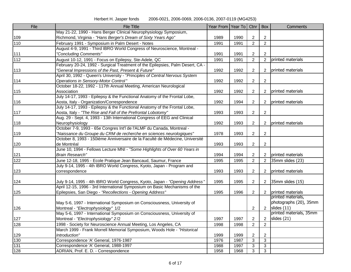| Herbert H. Jasper fonds | 2006-0021, 2006-0069, 2006-0136, 2007-0119 (MG4253) |  |  |  |  |
|-------------------------|-----------------------------------------------------|--|--|--|--|
|-------------------------|-----------------------------------------------------|--|--|--|--|

| File | <b>File Title</b>                                                              | Year From | Year To | Ctnr           | Box            | Comments                |
|------|--------------------------------------------------------------------------------|-----------|---------|----------------|----------------|-------------------------|
|      | May 21-22, 1990 - Hans Berger Clinical Neurophysiology Symposium,              |           |         |                |                |                         |
| 109  | Richmond, Virginia - "Hans Berger's Dream of Sixty Years Ago"                  | 1989      | 1990    | $\sqrt{2}$     | $\overline{2}$ |                         |
| 110  | February 1991 - Symposium in Palm Desert - Notes                               | 1991      | 1991    | $\overline{2}$ | $\overline{2}$ |                         |
|      | August 4-9, 1991 - Third IBRO World Congress of Neuroscience, Montreal -       |           |         |                |                |                         |
| 111  | "Concluding Comments"                                                          | 1991      | 1991    | $\overline{c}$ | $\overline{2}$ |                         |
| 112  | August 10-12, 1991 - Focus on Epilepsy, Ste-Adele, QC                          | 1991      | 1991    | $\overline{2}$ | $\overline{2}$ | printed materials       |
|      | February 20-24, 1992 - Surgical Treatment of the Epilepsies, Palm Desert, CA - |           |         |                |                |                         |
| 113  | "General Impressions of the Past, Present & Future"                            | 1992      | 1992    | $\overline{2}$ | $\overline{2}$ | printed materials       |
|      | April 30, 1992 - Queen's University - "Principles of Central Nervous System    |           |         |                |                |                         |
| 114  | Operations in Sensory-Motor Control"                                           | 1992      | 1992    | $\overline{2}$ | $\overline{2}$ |                         |
|      | October 18-22, 1992 - 117th Annual Meeting, American Neurological              |           |         |                |                |                         |
| 115  | Association                                                                    | 1992      | 1992    | $\overline{c}$ | $\overline{2}$ | printed materials       |
|      | July 14-17, 1993 - Epilepsy & the Functional Anatomy of the Frontal Lobe,      |           |         |                |                |                         |
| 116  | Aosta, Italy - Organization/Correspondence                                     | 1992      | 1994    | 2              | 2              | printed materials       |
|      | July 14-17, 1993 - Epilepsy & the Functional Anatomy of the Frontal Lobe,      |           |         |                |                |                         |
| 117  | Aosta, Italy - "The Rise and Fall of the Prefrontal Lobotomy"                  | 1993      | 1993    | $\overline{2}$ | $\overline{2}$ |                         |
|      | Aug. 29 - Sept. 4, 1993 - 13th International Congress of EEG and Clinical      |           |         |                |                |                         |
| 118  | Neurophysiology                                                                | 1992      | 1993    | $\overline{c}$ | $\overline{2}$ | printed materials       |
|      | October 7-9, 1993 - 65e Congres Int'l de l'ALMF du Canada, Montreal -          |           |         |                |                |                         |
| 119  | "Naissance du Groupe du CRM de recherche en sciences neurologiques"            | 1978      | 1993    | $\overline{c}$ | $\overline{2}$ |                         |
|      | October 8, 1993 - 150ième Anniversaire de la Faculté de Médecine, Université   |           |         |                |                |                         |
| 120  | de Montréal                                                                    | 1993      | 1993    | $\overline{2}$ | $\overline{2}$ |                         |
|      | June 10, 1994 - Fellows Lecture MNI - "Some Highlights of Over 60 Years in     |           |         |                |                |                         |
| 121  | <b>Brain Research"</b>                                                         | 1994      | 1994    | $\overline{2}$ | 2              | printed materials       |
| 122  | June 12-18, 1995 - Ecole Pratique Jean Bancaud, Saumur, France                 | 1995      | 1995    | $\overline{2}$ | $\overline{2}$ | 35mm slides (23)        |
|      | July 9-14, 1995 - 4th IBRO World Congress, Kyoto, Japan - Program and          |           |         |                |                |                         |
| 123  | correspondence                                                                 | 1993      | 1993    | $\overline{c}$ | 2              | printed materials       |
|      |                                                                                |           |         |                |                |                         |
| 124  | July 9-14, 1995 - 4th IBRO World Congress, Kyoto, Japan - "Opening Address"    | 1995      | 1995    | $\overline{c}$ | 2              | 35mm slides (15)        |
|      | April 12-15, 1996 - 3rd International Symposium on Basic Mechanisms of the     |           |         |                | $\overline{2}$ | printed materials       |
| 125  | Epilepsies, San Diego - "Recollections - Opening Address"                      | 1995      | 1996    | $\overline{2}$ |                | printed materials,      |
|      | May 5-6, 1997 - International Symposium on Consciousness, University of        |           |         |                |                | photographs (20), 35mm  |
| 126  | Montreal - "Electrophysiology" 1/2                                             |           |         | $\overline{2}$ | $\overline{2}$ | slides (11)             |
|      | May 5-6, 1997 - International Symposium on Consciousness, University of        |           |         |                |                | printed materials, 35mm |
| 127  | Montreal - "Electrophysiology" 2/2                                             | 1997      | 1997    | $\overline{c}$ | $\overline{2}$ | slides (21)             |
| 128  | 1998 - Society for Neuroscience Annual Meeting, Los Angeles, CA                | 1998      |         | $\overline{2}$ | $\overline{2}$ |                         |
|      | March 1999 - Frank Morrell Memorial Symposium, Woods Hole - "Historical        |           | 1998    |                |                |                         |
| 129  | Introduction"                                                                  | 1999      | 1999    | $\sqrt{2}$     | $\sqrt{2}$     |                         |
| 130  | Correspondence 'A' General, 1976-1987                                          | 1976      | 1987    | $\mathbf{3}$   | 3              |                         |
| 131  | Correspondence 'A' General, 1988-1997                                          | 1988      | 1997    | $\overline{3}$ | 3              |                         |
| 128  | ADRIAN, Prof. E. D. - Correspondence                                           | 1958      | 1968    | $\overline{3}$ | $\overline{3}$ |                         |
|      |                                                                                |           |         |                |                |                         |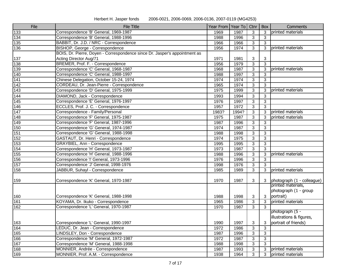|  |  | Herbert H. Jasper fonds |  | 2006-002 |
|--|--|-------------------------|--|----------|
|--|--|-------------------------|--|----------|

21, 2006-0069, 2006-0136, 2007-0119 (MG4253)

| File  | <b>File Title</b>                                                          | Year From   Year To |       | Ctnr           | Box            | Comments                   |
|-------|----------------------------------------------------------------------------|---------------------|-------|----------------|----------------|----------------------------|
| 133   | Correspondence 'B' General, 1969-1987                                      | 1969                | 1987  | 3              | 3              | printed materials          |
| 134   | Correspondence 'B' General, 1988-1996                                      | 1988                | 1996  | 3              | 3              |                            |
| 135   | BABBIT, Dr. J.D. / NRC - Correspondence                                    | 1966                | 1966  | 3              | 3              |                            |
| 136   | BISHOP, George - Correspondence                                            | 1956                | 1974  | 3              | 3              | printed materials          |
|       | BOIS, Dr. Pierre, Doyen - Correspondence since Dr. Jasper's appointment as |                     |       |                |                |                            |
| 137   | <b>Acting Director Aug/71</b>                                              | 1971                | 1981  | 3              | 3              |                            |
| 138   | BREMER, Prof. F. - Correspondence                                          | 1956                | 1979  | 3              | 3              |                            |
| 139   | Correspondence 'C' General, 1968-1987                                      | 1968                | 1987  | 3              | 3              | printed materials          |
| 140   | Correspondence 'C' General, 1988-1997                                      | 1988                | 1997  | 3              | 3              |                            |
| 141   | Chinese Delegation, October 15-24, 1974                                    | 1974                | 1974  | $\mathbf{3}$   | $\mathbf{3}$   |                            |
| 142   | CORDEAU, Dr. Jean-Pierre - Correspondence                                  | 1965                | 1974  | $\mathbf{3}$   | $\overline{3}$ |                            |
| 143   | Correspondence 'D' General, 1975-1999                                      | 1975                | 1999  | $\overline{3}$ | 3              | printed materials          |
| 144   | DIAMOND, Jack - Correspondence                                             | 1993                | 1994  | 3              | 3              |                            |
| 145   | Correspondence 'E' General, 1976-1997                                      | 1976                | 1997  | 3              | 3              |                            |
| 146   | ECCLES, Prof. J. C. - Correspondence                                       | 1957                | 1972  | 3              | $\mathbf{3}$   |                            |
| $147$ | Correspondence - Family/Personal                                           | 1983?               | 1994? | 3              | 3              | printed materials          |
| 148   | Correspondence 'F' General, 1975-1987                                      | 1975                | 1987  | 3              | 3              | printed materials          |
| 149   | Correspondence 'F' General, 1987-1996                                      | 1987                | 1996  | 3              | 3              |                            |
| 150   | Correspondence 'G' General, 1974-1987                                      | 1974                | 1987  | 3              | $\mathbf{3}$   |                            |
| 151   | Correspondence 'G' General, 1988-1998                                      | 1988                | 1998  | 3              | 3              |                            |
| 152   | GASTAUT, Dr. Henri - Correspondence                                        | 1974                | 1975  | 3              | 3              |                            |
| 153   | GRAYBIEL, Ann - Correspondence                                             | 1995                | 1995  | 3              | 3              |                            |
| 154   | Correspondence 'H' General, 1973-1987                                      | 1973                | 1987  | $\mathbf{3}$   | $\overline{3}$ |                            |
| 155   | Correspondence 'H' General, 1988-1996                                      | 1988                | 1996  | $\mathbf{3}$   | 3              | printed materials          |
| 156   | Correspondence 'l' General, 1973-1996                                      | 1976                | 1996  | 3              | 3              |                            |
| 157   | Correspondence 'J' General, 1998-1976                                      | 1998                | 1976  | 3              | 3              |                            |
| 158   | JABBUR, Suhayl - Correspondence                                            | 1985                | 1989  | 3              | 3              | printed materials          |
|       |                                                                            |                     |       |                |                |                            |
| 159   | Correspondence 'K' General, 1970-1987                                      | 1970                | 1987  | 3              | 3              | photograph (1 - colleague) |
|       |                                                                            |                     |       |                |                | printed materials,         |
|       |                                                                            |                     |       |                |                | photograph (1 - group      |
| 160   | Correspondence 'K' General, 1988-1998                                      | 1988                | 1998  | 3              | 3              | portrait)                  |
| 161   | KOYAMA, Dr. Ikuko - Correspondence                                         | 1965                | 1986  | 3              | $\overline{3}$ | printed materials          |
| 162   | Correspondence 'L' General, 1970-1987                                      | 1970                | 1987  | 3              | 3              |                            |
|       |                                                                            |                     |       |                |                | photograph (5 -            |
|       |                                                                            |                     |       |                |                | illustrations & figures,   |
| 163   | Correspondence 'L' General, 1990-1997                                      | 1990                | 1997  | 3              |                | 3 portrait of friends)     |
| 164   | LEDUC, Dr. Jean - Correspondence                                           | 1972                | 1986  | 3              | 3              |                            |
| 165   | LINDSLEY, Don - Correspondence                                             | 1987                | 1996  | 3              | 3              |                            |
| 166   | Correspondence 'M' General, 1972-1987                                      | 1972                | 1987  | 3              | $\mathfrak{S}$ |                            |
| 167   | Correspondence 'M' General, 1988-1998                                      | 1988                | 1998  | 3              | $\mathbf{3}$   |                            |
| 168   | MONNIER, Andrée - Correspondence                                           | 1987                | 1993  | $\mathbf{3}$   | 3              | printed materials          |
| 169   | MONNIER, Prof. A.M. - Correspondence                                       | 1938                | 1964  | 3              | 3              | printed materials          |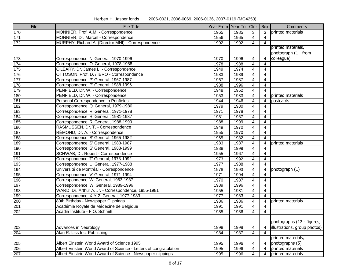| Herbert H. Jasper fonds |  | 2006-0021, 2006-0069, 2006-0136, 2007-0119 (MG4253) |  |  |  |
|-------------------------|--|-----------------------------------------------------|--|--|--|
|-------------------------|--|-----------------------------------------------------|--|--|--|

| File  | <b>File Title</b>                                                  | Year From Year To |      | Ctnr           | Box            | Comments                     |
|-------|--------------------------------------------------------------------|-------------------|------|----------------|----------------|------------------------------|
| 170   | MONNIER, Prof. A.M. - Correspondence                               | 1965              | 1985 | 3              | 3              | printed materials            |
| 171   | MONNIER, Dr. Marcel - Correspondence                               | 1956              | 1965 | $\overline{4}$ | 4              |                              |
| $172$ | MURPHY, Richard A. (Director MNI) - Correspondence                 | 1992              | 1992 | 4              | 4              |                              |
|       |                                                                    |                   |      |                |                | printed materials,           |
|       |                                                                    |                   |      |                |                | photograph (1 - from         |
| 173   | Correspondence 'N' General, 1970-1996                              | 1970              | 1996 | 4              | 4              | colleague)                   |
| 174   | Correspondence 'O' General, 1978-1988                              | 1978              | 1988 | 4              | 4              |                              |
| 175   | O'LEARY, Dr. James L. - Correspondence                             | 1949              | 1974 | 4              | 4              |                              |
| 176   | OTTOSON, Prof. D. / IBRO - Correspondence                          | 1983              | 1989 | 4              | 4              |                              |
| 177   | Correspondence 'P' General, 1967-1987                              | 1967              | 1987 | 4              | 4              |                              |
| 178   | Correspondence 'P' General, 1988-1996                              | 1988              | 1996 | $\overline{4}$ | 4              |                              |
| 179   | PENFIELD, Dr. W. - Correspondence                                  | 1948              | 1952 | $\overline{4}$ | 4              |                              |
| 180   | PENFIELD, Dr. W. - Correspondence                                  | 1953              | 1983 | $\overline{4}$ | 4              | printed materials            |
| 181   | Personal Correspondence to Penfields                               | 1944              | 1946 | $\overline{4}$ | $\overline{4}$ | postcards                    |
| 182   | Correspondence 'Q' General, 1979-1980                              | 1979              | 1980 | $\overline{4}$ | $\overline{4}$ |                              |
| 183   | Correspondence 'R' General, 1971-1978                              | 1971              | 1978 | 4              | 4              |                              |
| 184   | Correspondence 'R' General, 1981-1987                              | 1981              | 1987 | 4              | 4              |                              |
| 185   | Correspondence 'R' General, 1988-1999                              | 1988              | 1999 | 4              | 4              |                              |
| 186   | RASMUSSEN, Dr. T. - Correspondence                                 | 1949              | 1970 | $\overline{4}$ | 4              |                              |
| 187   | RÉMOND, Dr. A. - Correspondence                                    | 1955              | 1970 | $\overline{4}$ | 4              |                              |
| 188   | Correspondence 'S' General, 1965-1982                              | 1965              | 1982 | 4              | 4              |                              |
| 189   | Correspondence 'S' General, 1983-1987                              | 1983              | 1987 | $\overline{4}$ | 4              | printed materials            |
| 190   | Correspondence 'S' General, 1988-1999                              | 1988              | 1999 | $\overline{4}$ | 4              |                              |
| 191   | SCHWAB, Dr. Robert - Correspondence                                | 1955              | 1967 | 4              | 4              |                              |
| 192   | Correspondence 'T' General, 1973-1992                              | 1973              | 1992 | 4              | 4              |                              |
| 193   | Correspondence 'U' General, 1977-1988                              | 1977              | 1988 | $\overline{4}$ | $\overline{4}$ |                              |
| 194   | Université de Montréal - Correspondence                            | 1978              | 1993 | $\overline{4}$ | 4              | photograph (1)               |
| 195   | Correspondence 'V' General, 1971-1994                              | 1971              | 1994 | $\overline{4}$ | 4              |                              |
| 196   | Correspondence 'W' General, 1963-1987                              | 1970              | 1987 | 4              | 4              |                              |
| 197   | Correspondence 'W' General, 1989-1996                              | 1989              | 1996 | 4              | 4              |                              |
| 198   | WARD, Dr. Arthur A. Jr. - Correspondence, 1955-1981                | 1955              | 1981 | 4              | 4              |                              |
| 199   | Correspondence 'X-Y-Z' General, 1977-1983                          | 1977              | 1983 | 4              | 4              |                              |
| 200   | 80th Birthday - Newspaper Clippings                                | 1986              | 1986 | 4              | 4              | printed materials            |
| 201   | Académie Royale de Médecine de Belgique                            | 1991              | 1991 | 4              | 4              |                              |
| 202   | Acadia Institute - F.O. Schmitt                                    | 1985              | 1986 | $\overline{4}$ | 4              |                              |
|       |                                                                    |                   |      |                |                |                              |
|       |                                                                    |                   |      |                |                | photographs (12 - figures,   |
| 203   | Advances in Neurology                                              | 1998              | 1998 | 4              | 4              | illustrations, group photos) |
| 204   | Alan R. Liss Inc. Publishing                                       | 1984              | 1987 | $\overline{4}$ | 4              |                              |
|       |                                                                    |                   |      |                |                | printed materials,           |
| 205   | Albert Einstein World Award of Science 1995                        | 1995              | 1996 | 4              | 4              | photographs (5)              |
| 206   | Albert Einstein World Award of Science - Letters of congratulation | 1995              | 1996 | 4              | 4              | printed materials            |
| 207   | Albert Einstein World Award of Science - Newspaper clippings       | 1995              | 1996 | 4              | 4              | printed materials            |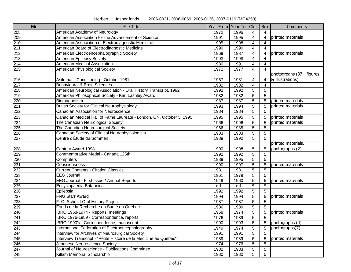| File | <b>File Title</b>                                                    | Year From   Year To |      | Ctnr                    | Box            | Comments                  |
|------|----------------------------------------------------------------------|---------------------|------|-------------------------|----------------|---------------------------|
| 208  | American Academy of Neurology                                        | 1972                | 1996 | 4                       | 4              |                           |
| 209  | American Association for the Advancement of Science                  | 1991                | 1995 | 4                       | $\overline{4}$ | printed materials         |
| 210  | American Association of Electrodiagnostic Medicine                   | 1995                | 1998 | 4                       | 4              |                           |
| 211  | American Board of Electrodiagnostic Medicine                         | 1990                | 1990 | 4                       | 4              |                           |
| 212  | American Electroencephalographic Society                             | 1969                | 1987 | 4                       | 4              | printed materials         |
| 213  | American Epilepsy Society                                            | 1993                | 1998 | 4                       | 4              |                           |
| 214  | American Medical Association                                         | 1980                | 1991 | 4                       | 4              |                           |
| 215  | <b>American Physiological Society</b>                                | 1972                | 1977 | $\overline{\mathbf{4}}$ | 4              |                           |
|      |                                                                      |                     |      |                         |                | photogrpahs (37 - figures |
| 216  | Asilomar - Conditioning - October 1981                               | 1957                | 1981 | 4                       | 4              | & illustrations)          |
| 217  | Behavioural & Brain Sciences                                         | 1982                | 1982 | $\overline{\mathbf{4}}$ | 4              |                           |
| 218  | American Neurological Association - Oral History Transcript, 1992    | 1992                | 1992 | 5                       | 5              |                           |
| 219  | American Philosophical Society - Karl Lashley Award                  | 1982                | 1982 | 5                       | 5              |                           |
| 220  | Biomagnetism                                                         | 1987                | 1987 | 5                       | 5              | printed materials         |
| 221  | <b>British Society for Clinical Neurophysiology</b>                  | 1993                | 1994 | 5                       | 5              | printed materials         |
| 222  | <b>Canadian Association for Neuroscience</b>                         | 1984                | 1984 | $\overline{5}$          | $\overline{5}$ |                           |
| 223  | Canadian Medical Hall of Fame Laureate - London, ON, October 5, 1995 | 1995                | 1995 | 5                       | 5              | printed materials         |
| 224  | The Canadian Neurological Society                                    | 1966                | 1996 | 5                       | 5              | printed materials         |
| 225  | The Canadian Neurosurgical Society                                   | 1966                | 1985 | 5                       | 5              |                           |
| 226  | Canadian Society of Clinical Neurophysiologists                      | 1983                | 1983 | $\overline{5}$          | 5              |                           |
| 227  | Centre d'Étude du Sommeil                                            | 1989                | 1990 | 5                       | 5              |                           |
|      |                                                                      |                     |      |                         |                | printed materials,        |
| 228  | Century Award 1998                                                   | 1990                | 1998 | 5                       | 5              | photographs (2)           |
| 229  | Commemorative Medal - Canada 125th                                   | 1992                | 1992 | 5                       | 5              |                           |
| 230  | Computers                                                            | 1989                | 1995 | 5                       | 5              |                           |
| 231  | Consciousness                                                        | 1990                | 1997 | 5                       | 5              | printed materials         |
| 232  | <b>Current Contents - Citation Classics</b>                          | 1981                | 1981 | $\overline{5}$          | 5              |                           |
| 233  | <b>EEG Journal</b>                                                   | 1961                | 1979 | $\overline{5}$          | $\overline{5}$ |                           |
| 234  | EEG Journal - First Issue / Annual Reports                           | 1949                | 1960 | $\overline{5}$          | 5              | printed materials         |
| 235  | Encyclopaedia Britannica                                             | nd                  | nd   | 5                       | 5              |                           |
| 236  | Epilepsia                                                            | 1992                | 1992 | 5                       | 5              |                           |
| 237  | <b>FNG Starr Award</b>                                               | 1994                | 1994 | 5                       | 5              | printed materials         |
| 238  | F. O. Schmitt Oral History Project                                   | 1987                | 1987 | $\overline{5}$          | 5              |                           |
| 239  | Fonds de la Recherche en Santé du Québec                             | 1986                | 1989 | 5                       | $\overline{5}$ |                           |
| 240  | IBRO 1958-1974 - Reports, meetings                                   | 1958                | 1974 | 5                       | 5              | printed materials         |
| 241  | IBRO 1976-1989 - Correspondence, reports                             | 1976                | 1989 | $\overline{5}$          | 5              |                           |
| 242  | IBRO 1990's - Correspondence, manuscript                             | 1990                | 1993 | $\overline{5}$          |                | 5 photographs (4)         |
| 243  | International Federation of Electroencephalography                   | 1949                | 1974 | 5                       | 5              | photographs(7)            |
| 244  | Interview for Archives of Neurosurgical Society                      | 1991                | 1991 | 5                       | 5              |                           |
| 245  | Interview Transcript - "Petite Histoire de la Médicine au Québec"    | 1989                | 1989 | 5                       | 5              | printed materials         |
| 246  | Japanese Neuroscience Society                                        | 1974                | 1976 | 5                       | 5              |                           |
| 247  | Journal of Neuroscience - Publications Committee                     | 1982                | 1983 | 5                       | $\sqrt{5}$     |                           |
| 248  | Killam Memorial Scholarship                                          | 1980                | 1980 | 5                       | 5              |                           |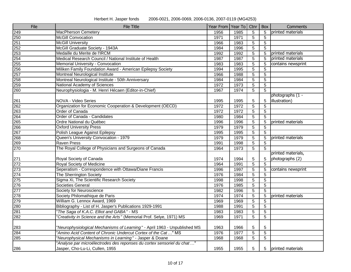| File | File Title                                                                | Year From Year To Ctnr |      |                | Box            | Comments           |
|------|---------------------------------------------------------------------------|------------------------|------|----------------|----------------|--------------------|
| 249  | MacPherson Cemetery                                                       | 1956                   | 1985 | 5              | 5              | printed materials  |
| 250  | <b>McGill Convocation</b>                                                 | 1971                   | 1971 | $\overline{5}$ | 5              |                    |
| 251  | <b>McGill University</b>                                                  | 1966                   | 1983 | 5              | 5              |                    |
| 252  | McGill Graduate Society - 1943A                                           | 1984                   | 1996 | $\overline{5}$ | $\overline{5}$ |                    |
| 253  | Medaille du Merite de l'IRCM                                              | 1992                   | 1992 | $\overline{5}$ | 5              | printed materials  |
| 254  | Medical Research Council / National Institute of Health                   | 1987                   | 1987 | $\overline{5}$ | $\overline{5}$ | printed materials  |
| 255  | Memorial University - Convocation                                         | 1983                   | 1983 | 5              | 5              | contains newsprint |
| 256  | Miliken Family Foundation Award - American Epilepsy Society               | 1994                   | 1995 | $\overline{5}$ | 5              |                    |
| 257  | Montreal Neurological Institute                                           | 1966                   | 1988 | $\overline{5}$ | $\overline{5}$ |                    |
| 258  | Montreal Neurological Institute - 50th Anniversary                        | 1984                   | 1984 | $\overline{5}$ | $\overline{5}$ |                    |
| 259  | National Academy of Sciences                                              | 1972                   | 1973 | $\overline{5}$ | 5              |                    |
| 260  | Neurophysiologia - M. Henri Hécaen (Editor-in-Chief)                      | 1967                   | 1974 | $\overline{5}$ | $\overline{5}$ |                    |
|      |                                                                           |                        |      |                |                | photographs (1 -   |
| 261  | NOVA - Video Series                                                       | 1995                   | 1995 | 5              | 5              | illustration)      |
| 262  | Organization for Economic Cooperation & Development (OECD)                | 1972                   | 1972 | $\overline{5}$ | $\overline{5}$ |                    |
| 263  | Order of Canada                                                           | 1972                   | 1972 | $\overline{5}$ | $\overline{5}$ |                    |
| 264  | Order of Canada - Candidates                                              | 1980                   | 1984 | $\overline{5}$ | $\overline{5}$ |                    |
| 265  | Ordre National du Québec                                                  | 1996                   | 1996 | $\overline{5}$ | 5              | printed materials  |
| 266  | <b>Oxford University Press</b>                                            | 1979                   | 1979 | $\overline{5}$ | $\overline{5}$ |                    |
| 267  | Polish League Against Epilepsy                                            | 1995                   | 1995 | $\overline{5}$ | $\overline{5}$ |                    |
| 268  | Queen's University Convocation - 1979                                     | 1979                   | 1979 | $\overline{5}$ | 5              | printed materials  |
| 269  | <b>Raven Press</b>                                                        | 1991                   | 1998 | $\overline{5}$ | 5              |                    |
| 270  | The Royal College of Physicians and Surgeons of Canada                    | 1964                   | 1973 | 5              | $\overline{5}$ |                    |
|      |                                                                           |                        |      |                |                | printed materials, |
| 271  | Royal Society of Canada                                                   | 1974                   | 1994 | 5              | 5              | photographs (2)    |
| 272  | Royal Society of Medicine                                                 | 1964                   | 1991 | $\overline{5}$ | $\overline{5}$ |                    |
| 273  | Seperatism - Correspondence with Ottawa/Diane Francis                     | 1996                   | 1997 | $\overline{5}$ | $\overline{5}$ | contains newsprint |
| 274  | <b>The Sherrington Society</b>                                            | 1976                   | 1984 | $\overline{5}$ | $\overline{5}$ |                    |
| 275  | Sigma Xi, The Scientific Research Society                                 | 1998                   | 1998 | $\overline{5}$ | $\overline{5}$ |                    |
| 276  | Societies General                                                         | 1976                   | 1985 | $\overline{5}$ | $\overline{5}$ |                    |
| 277  | Society for Neuroscience                                                  | 1982                   | 1996 | $\overline{5}$ | $\overline{5}$ |                    |
| 278  | Society Philomathique de Paris                                            | 1974                   | 1974 | $\overline{5}$ | $\overline{5}$ | printed materials  |
| 279  | William G. Lennox Award, 1969                                             | 1969                   | 1969 | $\overline{5}$ | $\overline{5}$ |                    |
| 280  | Bibliography - List of H. Jasper's Publications 1929-1991                 | 1988                   | 1991 | $\overline{5}$ | $\overline{5}$ |                    |
| 281  | 'The Saga of K.A.C. Elliot and GABA" - MS                                 | 1983                   | 1983 | $\overline{5}$ | 5              |                    |
| 282  | Creativity in Science and the Arts" (Memorial Prof. Selye, 1971) MS       | 1969                   | 1971 | $\overline{5}$ | 5              |                    |
|      |                                                                           |                        |      |                |                |                    |
| 283  | 'Neurophysiological Mechanisms of Learning" - April 1963 - Unpublished MS | 1963                   | 1966 | $\sqrt{5}$     | $\sqrt{5}$     |                    |
| 284  | 'Amino Acid Content of Chronic Undercut Cortex of the Cat" MS             | 1976                   | 1977 | $\overline{5}$ | $\overline{5}$ |                    |
| 285  | 'Neurophysical Mechanisms in Learning" - Jasper & Doane                   | 1968                   | 1968 | $\overline{5}$ | $\overline{5}$ |                    |
|      | 'Analyse par microélectrodes des reponses du cortex sensoriel du chat"    |                        |      |                |                |                    |
| 286  | Jasper, Cho-Lu-Li, Cullen, 1955                                           | 1955                   | 1955 | 5              | 5              | printed materials  |

Herbert H. Jasper fonds 2006-0021, 2006-0069, 2006-0136, 2007-0119 (MG4253)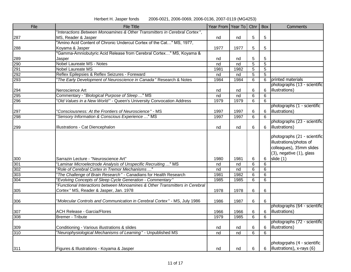| File | File Title                                                                  | Year From   Year To |      | Ctnr           | Box            | Comments                       |
|------|-----------------------------------------------------------------------------|---------------------|------|----------------|----------------|--------------------------------|
|      | Interactions Between Monoamines & Other Transmitters in Cerebral Cortex",   |                     |      |                |                |                                |
| 287  | MS, Reader & Jasper                                                         | nd                  | nd   | 5              | 5              |                                |
|      | 'Amino Acid Content of Chronic Undercut Cortex of the Cat" MS, 1977,        |                     |      |                |                |                                |
| 288  | Koyama & Jasper                                                             | 1977                | 1977 | 5              | 5              |                                |
|      | "Gamma-Amniobutyric Acid Release from Cerebral Cortex" MS, Koyama &         |                     |      |                |                |                                |
| 289  | Jasper                                                                      | nd                  | nd   | 5              | 5              |                                |
| 290  | <b>Nobel Laureate MS - Notes</b>                                            | nd                  | nd   | $\overline{5}$ | $\overline{5}$ |                                |
| 291  | <b>Nobel Laureate MS</b>                                                    | 1981                | 1982 | $\overline{5}$ | $\overline{5}$ |                                |
| 292  | Reflex Epilepsies & Reflex Seizures - Foreward                              | nd                  | nd   | $\overline{5}$ | $\overline{5}$ |                                |
| 293  | The Early Development of Neuroscience in Canada" Research & Notes           | 1984                | 1984 | $\overline{6}$ | $\overline{6}$ | printed materials              |
|      |                                                                             |                     |      |                |                | photographs (13 - scientific   |
| 294  | Neroscience Art                                                             | nd                  | nd   | 6              | 6              | illustrations)                 |
| 295  | Commentary - "Biological Purpose of Sleep " MS                              | nd                  | nd   | 6              | $\overline{6}$ |                                |
| 296  | Old Values in a New World" - Queen's University Convocation Address         | 1979                | 1979 | 6              | 6              |                                |
|      |                                                                             |                     |      |                |                | photographs (1 - scientific    |
| 297  | Consciousness: At the Frontiers of Neuroscience" - MS                       | 1997                | 1997 | $\,6$          | 6              | illustrations)                 |
| 298  | Sensory Information & Conscious Experience  " MS                            | 1997                | 1997 | 6              | $6\phantom{1}$ |                                |
|      |                                                                             |                     |      |                |                | photographs (23 - scientific   |
| 299  | Illustrations - Cat Diencephalon                                            | nd                  | nd   | 6              | 6              | illustrations)                 |
|      |                                                                             |                     |      |                |                |                                |
|      |                                                                             |                     |      |                |                | photographs (21 - scientific   |
|      |                                                                             |                     |      |                |                | illustrations/photos of        |
|      |                                                                             |                     |      |                |                | colleagues), 35mm slides       |
|      |                                                                             |                     |      |                |                | $(3)$ , negative $(1)$ , glass |
| 300  | Sarrazin Lecture - "Neuroscience Art"                                       | 1980                | 1981 | 6              | 6              | slide $(1)$                    |
| 301  | 'Laminar Microelectrode Analysis of Unspecific Recruiting" MS               | nd                  | nd   | 6              | $6\phantom{1}$ |                                |
| 302  | "Role of Cerebral Cortex in Tremor Mechanisms"                              | nd                  | nd   | $\overline{6}$ | $\overline{6}$ |                                |
| 303  | The Challenge of Brain Research" - Canadians for Health Research            | 1981                | 1982 | $\,6$          | 6              |                                |
| 304  | Evolving Concepts of Sleep Cycle Generation - Commentary"                   | 1985                | 1985 | $\,6$          | 6              |                                |
|      | Functional Interactions between Monoamines & Other Transmitters in Cerebral |                     |      |                |                |                                |
| 305  | Cortex" MS, Reader & Jasper, Jan. 1978                                      | 1978                | 1978 | 6              | 6              |                                |
|      |                                                                             |                     |      |                |                |                                |
| 306  | 'Molecular Controls and Communication in Cerebral Cortex" - MS, July 1986   | 1986                | 1987 | 6              | 6              |                                |
|      |                                                                             |                     |      |                |                | photographs (64 - scientific   |
| 307  | <b>ACH Release - Garcia/Flores</b>                                          | 1966                | 1966 | 6              | 6              | illustrations)                 |
| 308  | <b>Bremer</b> - Tribute                                                     | 1979                | 1985 | $\overline{6}$ | $\overline{6}$ |                                |
|      |                                                                             |                     |      |                |                | photographs (72 - scientific   |
| 309  | Conditioning - Various illustrations & slides                               | nd                  | nd   | $\,6$          | 6              | illustrations)                 |
| 310  | 'Neurophysiological Mechanisms of Learning" - Unpublished MS                | nd                  | nd   | 6              | 6              |                                |
|      |                                                                             |                     |      |                |                |                                |
|      |                                                                             |                     |      |                |                | photogrpahs (4 - scientific    |
| 311  | Figures & Illustrations - Koyama & Jasper                                   | nd                  | nd   | 6              | 6              | illustrations), x-rays (6)     |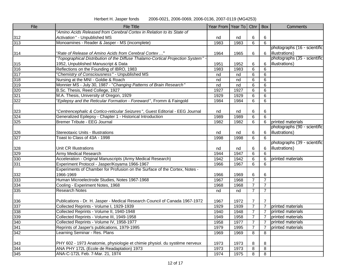| File | File Title                                                                    | Year From   Year To |      | Ctnr           | Box            | <b>Comments</b>              |
|------|-------------------------------------------------------------------------------|---------------------|------|----------------|----------------|------------------------------|
|      | 'Amino Acids Released from Cerebral Cortex in Relation to its State of        |                     |      |                |                |                              |
| 312  | Activation" - Unpublished MS                                                  | nd                  | nd   | 6              | 6              |                              |
| 313  | Monoamines - Reader & Jasper - MS (incomplete)                                | 1983                | 1983 | 6              | 6              |                              |
|      |                                                                               |                     |      |                |                | photographs (16 - scientific |
| 314  | 'Rate of Release of Amino Acids from Cerebral Cortex"                         | 1964                | 1965 | 6              | 6              | illustrations)               |
|      | Topographical Distribution of the Diffuse Thalamo-Cortical Projection System" |                     |      |                |                | photographs (35 - scientific |
| 315  | 1952, Unpublished Manuscript & Data                                           | 1951                | 1952 | 6              | 6              | illustrations)               |
| 316  | Reflections on the Founding of IBRO, 1983                                     | 1983                | 1983 | 6              | 6              |                              |
| 317  | 'Chemistry of Consciousness" - Unpublished MS                                 | nd                  | nd   | 6              | 6              |                              |
| 318  | Nursing at the MNI - Goldie & Roach                                           | nd                  | nd   | 6              | 6              |                              |
| 319  | Monnier MS - July 30, 1987 - "Changing Patterns of Brain Research"            | nd                  | nd   | 6              | 6              |                              |
| 320  | B.Sc. Thesis, Reed College, 1927                                              | 1927                | 1927 | 6              | 6              |                              |
| 321  | M.A. Thesis, University of Oregon, 1929                                       | 1929                | 1929 | 6              | 6              |                              |
| 322  | 'Epilepsy and the Reticular Formation - Foreward", Fromm & Faingold           | 1984                | 1984 | 6              | 6              |                              |
|      |                                                                               |                     |      |                |                |                              |
| 323  | 'Centrencephalic & Cortico-reticular Seizures", Guest Editorial - EEG Journal | nd                  | nd   | 6              | 6              |                              |
| 324  | Generalized Epilepsy - Chapter 1 - Historical Introduction                    | 1989                | 1989 | 6              | 6              |                              |
| 325  | <b>Bremer Tribute - EEG Journal</b>                                           | 1982                | 1982 | 6              | 6              | printed materials            |
|      |                                                                               |                     |      |                |                | photographs (90 - scientific |
| 326  | Stereotaxic Units - Illustrations                                             | nd                  | nd   | 6              | 6              | illustrations)               |
| 327  | Toast to Class of 43A - 1998                                                  | 1998                | 1998 | 6              | 6              |                              |
|      |                                                                               |                     |      |                |                | photographs (39 - scientific |
| 328  | <b>Unit CR Illustrations</b>                                                  | nd                  | nd   | 6              | 6              | illustrations)               |
| 329  | <b>Army Medical Research</b>                                                  | 1944                | 1947 | 6              | 6              |                              |
| 330  | Acceleration - Original Manuscripts (Army Medical Research)                   | 1942                | 1942 | 6              | 6              | printed materials            |
| 331  | Experiment Protocol - Jasper/Koyama 1966-1967                                 | 1966                | 1967 | 6              | 6              |                              |
|      | Experiments of Chamber for Profusion on the Surface of the Cortex, Notes -    |                     |      |                |                |                              |
| 332  | 1966-1969                                                                     | 1966                | 1969 | 6              | 6              |                              |
| 333  | Human Microelectrode Studies, Notes 1967-1968                                 | 1967                | 1968 | $\overline{7}$ | $\overline{7}$ |                              |
| 334  | Cooling - Experiment Notes, 1968                                              | 1968                | 1968 | $\overline{7}$ | $\overline{7}$ |                              |
| 335  | <b>Research Notes</b>                                                         | nd                  | nd   | $\overline{7}$ | $\overline{7}$ |                              |
|      |                                                                               |                     |      |                |                |                              |
| 336  | Publications - Dr. H. Jasper - Medical Research Council of Canada 1967-1972   | 1967                | 1972 | 7              | $\overline{7}$ |                              |
| 337  | Collected Reprints - Volume I, 1929-1939                                      | 1929                | 1939 | $\overline{7}$ | $\overline{7}$ | printed materials            |
| 338  | Collected Reprints - Volume II, 1940-1948                                     | 1940                | 1948 | $\overline{7}$ | $\overline{7}$ | printed materials            |
| 339  | Collected Reprints - Volume III, 1949-1958                                    | 1949                | 1958 | $\overline{7}$ |                | 7 printed materials          |
| 340  | Collected Reprints - Volume IV, 1958-1977                                     | 1958                | 1977 | $\overline{7}$ |                | 7 printed materials          |
| 341  | Reprints of Jasper's publications, 1979-1995                                  | 1979                | 1995 | $\overline{7}$ | $\overline{7}$ | printed materials            |
| 342  | Learning Seminar - Res. Plans                                                 | 1969                | 1969 | 8              | 8              |                              |
|      |                                                                               |                     |      |                |                |                              |
| 343  | PHY 602 - 1973 Anatomie, physiologie et chimie physiol. du système nerveux    | 1973                | 1973 | 8              | 8              |                              |
| 344  | ANA PHY 172L (Ecole de Readaptation) 1973                                     | 1973                | 1973 | 8              | 8              |                              |
| 345  | ANA-C-172L Feb. 7-Mar. 21, 1974                                               | 1974                | 1975 | 8              | 8              |                              |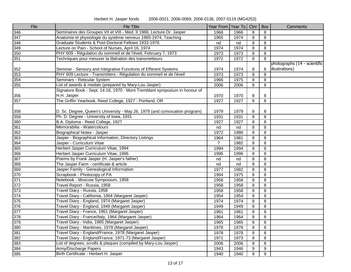| File                                                               | <b>File Title</b>                                                          | Year From   Year To |      | Ctnr           | Box              | Comments                     |
|--------------------------------------------------------------------|----------------------------------------------------------------------------|---------------------|------|----------------|------------------|------------------------------|
| 346                                                                | Seminaires des Groupes VII et VIII - Med. II 1966, Lecture Dr. Jasper      | 1966                | 1966 | 8              | 8                |                              |
| 347                                                                | Anatomie et physiologie du système nerveux 1965-1974, Teaching             | 1965                | 1974 | 8              | 8                |                              |
| 348                                                                | Graduate Students & Post-Doctoral Fellows 1933-1976                        | nd                  | nd   | 8              | 8                |                              |
| 349                                                                | Lecture on Pain - School of Nurses, April 16, 1974                         | 1974                | 1974 | 8              | 8                |                              |
| 350                                                                | PHY 609 - Régulation du sommeil et de l'éveil, February 7, 1973            | 1973                | 1973 | 8              | 8                |                              |
| 351                                                                | Techniques pour mesurer la libération des transmetteurs                    | 1972                | 1972 | $\overline{8}$ | $\overline{8}$   |                              |
|                                                                    |                                                                            |                     |      |                |                  | photographs (14 - scientific |
|                                                                    | Seminar - Sensory and Integrative Functions of Efferent Systems            | 1974                | 1974 | 8              | 8                | illustrations)               |
| 352<br>353                                                         | PHY 609 Lecture - Transmitters - Régulation du sommeil et de l'éveil       | 1973                | 1973 | 8              | 8                |                              |
| 354                                                                | Seminars - Reticular System                                                | 1966                | 1975 | 8              | 8                |                              |
| 355                                                                | List of awards & medals (prepared by Mary-Lou Jasper)                      | 2006                | 2006 | 8              | 8                |                              |
|                                                                    | Signature Book - Sept. 14-16, 1970 - Mont Tremblant symposium in honour of |                     |      |                |                  |                              |
| 356                                                                | H.H. Jasper                                                                | 1970                | 1970 | 8              | 8                |                              |
| 357                                                                | The Griffin Yearbook, Reed College, 1927 - Portland, OR                    | 1927                | 1927 | 8              | 8                |                              |
|                                                                    |                                                                            |                     |      |                |                  |                              |
| 358                                                                | D. Sc. Degree, Queen's University - May 26, 1979 (and convocation program) | 1979                | 1979 | 8              | 8                |                              |
|                                                                    | Ph. D. Degree - University of Iowa, 1931                                   | 1931                | 1931 | 8              | 8                |                              |
|                                                                    | B.A. Diploma - Reed College, 1927                                          | 1927                | 1927 | 8              | 8                |                              |
| 359<br>360<br>361<br>362<br>363<br>363<br>364<br>365               | Memorabilia - Watercolours                                                 | nd                  | nd   | 8              | 8                |                              |
|                                                                    | Biographical Notes - Jasper                                                | 1972                | 1986 | 8              | 8                |                              |
|                                                                    | Jasper - Biographical Information, Directory Listings                      | 1964                | 1981 | 8              | 8                |                              |
|                                                                    | Jasper - Curriculum Vitae                                                  | $\gamma$            | 1982 | 8              | 8                |                              |
|                                                                    | Herbert Jasper Curriculum Vitae, 1994                                      | 1994                | 1994 | 8              | 8                |                              |
|                                                                    | Herbert Jasper Curriculum Vitae, 1996                                      | 1996                | 1996 | 8              | 8                |                              |
| 366<br>367<br>368<br>369<br>370<br>371<br>372<br>373<br>374<br>375 | Poems by Frank Jasper (H. Jasper's father)                                 | nd                  | nd   | 8              | 8                |                              |
|                                                                    | The Jasper Farm - certificate & article                                    | nd                  | nd   | 8              | 8                |                              |
|                                                                    | Jasper Family - Genealogical Information                                   | 1977                | 1982 | 8              | 8                |                              |
|                                                                    | Scrapbook - Photocopy of PA                                                | 1964                | 1975 | 8              | 8                |                              |
|                                                                    | Notebook - Moscow Symposium, 1958                                          | 1958                | 1958 | 8              | 8                |                              |
|                                                                    | Travel Report - Russia, 1958                                               | 1958                | 1958 | 8              | 8                |                              |
|                                                                    | Travel Diary - Russia, 1958                                                | 1958                | 1958 | 8              | 8                |                              |
|                                                                    | Travel Diary - California, 1954 (Margaret Jasper)                          | 1954                | 1954 | 8              | 8                |                              |
|                                                                    | Travel Diary - England, 1974 (Margaret Jasper)                             | 1974                | 1974 | 8              | 8                |                              |
| 376                                                                | Travel Diary - England, 1949 (Margaret Jasper)                             | 1949                | 1949 | 8              | 8                |                              |
| 377                                                                | Travel Diary - France, 1961 (Margaret Jasper)                              | 1961                | 1961 | 8              | 8                |                              |
| 378                                                                | Travel Diary - France/Italy, 1964 (Margaret Jasper)                        | 1964                | 1964 | 8              | $\,8\,$          |                              |
| 379<br>380                                                         | Travel Diary - India, 1965 (Margaret Jasper)                               | 1965                | 1965 | $\overline{8}$ | $\overline{8}$   |                              |
|                                                                    | Travel Diary - Maritimes, 1978 (Margaret Jasper)                           | 1978                | 1978 | 8              | 8                |                              |
| 381                                                                | Travel Diary - England/France, 1978 (Margaret Jasper)                      | 1978                | 1978 | 8              | 8                |                              |
| 382                                                                | Travel Diary - England/France, 1971-73 (Margaret Jasper)                   | 1971                | 1973 | 8              | 8                |                              |
| 383                                                                | List of degrees, scrolls & plaques (compiled by Mary-Lou Jasper)           | 2006                | 2006 | 8              | 8                |                              |
| 384                                                                | Army/Discharge Papers                                                      | 1943                | 1946 | 9              | $\boldsymbol{9}$ |                              |
| 385                                                                | Birth Certificate - Herbert H. Jasper                                      | 1940                | 1940 | 9              | $9\,$            |                              |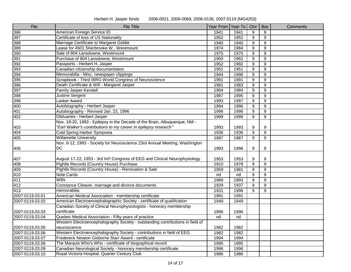| File            | <b>File Title</b>                                                              | Year From Year To Ctnr |      |                | Box              | Comments |
|-----------------|--------------------------------------------------------------------------------|------------------------|------|----------------|------------------|----------|
| 386             | American Foreign Service ID                                                    | 1941                   | 1941 | 9              | 9                |          |
| 387             | Certificate of loss of US Nationality                                          | 1952                   | 1952 | 9              | 9                |          |
| 388             | Marriage Certificate to Margaret Goldie                                        | 1940                   | 1940 | 9              | 9                |          |
| 389             | Lease for 4501 Sherbrooke W., Westmount                                        | 1974                   | 1984 | 9              | 9                |          |
| 390             | Sale of 804 Lansdowne, Westmount                                               | 1975                   | 1975 | 9              | 9                |          |
| 391             | Purchase of 804 Lansdowne, Westmount                                           | 1950                   | 1962 | 9              | 9                |          |
| 392             | Passports - Herbert H. Jasper                                                  | 1952                   | 1992 | 9              | 9                |          |
| 393             | Canadian citizenship documentation                                             | 1951                   | 1951 | 9              | 9                |          |
| 394             | Memorabilia - Misc. newspaper clippings                                        | 1944                   | 1996 | 9              | 9                |          |
| 395             | Scrapbook - Third IBRO World Congress of Neuroscience                          | 1991                   | 1991 | 9              | 9                |          |
| 396             | Death Certificate & Will - Margaret Jasper                                     | 1981                   | 1983 | 9              | 9                |          |
| 397             | Family Jasper Kendall                                                          | 1984                   | 1984 | 9              | 9                |          |
| 398             | Justine Sergent                                                                | 1987                   | 1995 | 9              | $\boldsymbol{9}$ |          |
| 399             | Lasker Award                                                                   | 1993                   | 1997 | 9              | 9                |          |
| 400             | Autobiography - Herbert Jasper                                                 | 1994                   | 1996 | 9              | 9                |          |
| 401             | Autobiography - Revised Jan. 23, 1996                                          | 1996                   | 1996 | 9              | 9                |          |
| 402             | Obituaries - Herbert Jasper                                                    | 1999                   | 1999 | 9              | 9                |          |
|                 | Nov. 19-20, 1993 - Epilepsy in the Decade of the Brain, Albuquerque, NM -      |                        |      |                |                  |          |
| 403             | 'Earl Walker's contributions to my career in epilepsy research"                | 1993                   | 1993 | 9              | 9                |          |
| 404             | Cold Spring Harbor Symposia                                                    | 1936                   | 1936 | 9              | 9                |          |
| 405             | <b>Willamette University</b>                                                   | 1987                   | 1987 | 9              | 9                |          |
|                 | Nov. 6-12, 1993 - Society for Neuroscience 23rd Annual Meeting, Washington     |                        |      |                |                  |          |
| 406             | DC                                                                             | 1993                   | 1996 | 9              | 9                |          |
|                 |                                                                                |                        |      |                |                  |          |
| 407             | August 17-22, 1953 - 3rd Int'l Congress of EEG and Clinical Neurophysiology    | 1953                   | 1953 | 9              | 9                |          |
| 408             | Pightle Records (Country House) Purchase                                       | 1910                   | 1978 | 9              | 9                |          |
| 409             | Pightle Records (Country House) - Renovation & Sale                            | 1959                   | 1981 | 9              | 9                |          |
| 410             | <b>Note Cards</b>                                                              | nd                     | nd   | $\overline{9}$ | $\overline{9}$   |          |
| 411             | $W$ ills                                                                       | 1968                   | 1993 | 9              | 9                |          |
| 412             | Constance Cleaver, marriage and divorce documents                              | 1929                   | 1937 | 9              | 9                |          |
| 413             | memorabilia                                                                    | 1931                   | 1996 | 9              | 9                |          |
| 2007-0119.03.01 | American Medical Association - membership certificate                          | 1991                   | 1991 |                |                  |          |
| 2007-0119.03.02 | American Electroencephalographic Society - certificate of qualification        | 1949                   | 1949 |                |                  |          |
|                 | Canadian Society of Clinical Neurophysiologists - honorary membership          |                        |      |                |                  |          |
| 2007-0119.03.03 | certificate                                                                    | 1996                   | 1996 |                |                  |          |
| 2007-0119.03.04 | Quebec Medical Association - Fifty years of practice                           | nd                     | nd   |                |                  |          |
|                 | Western Electroencephalography Society - outstanding contributions in field of |                        |      |                |                  |          |
| 2007-0119.03.05 | neuroscience                                                                   | 1982                   | 1982 |                |                  |          |
| 2007-0119.03.06 | Western Electroencephalography Society - contributions in field of EEG         | 1982                   | 1982 |                |                  |          |
| 2007-0119.03.07 | Fredereck Newton Gisborne Starr Award - certificate                            | 1994                   | 1994 |                |                  |          |
| 2007-0119.03.08 | The Marquis Who's Who - certificate of biographical record                     | 1995                   | 1995 |                |                  |          |
| 2007-0119.03.09 | Canadian Neurological Society - honorary membership certificate                | 1996                   | 1996 |                |                  |          |
| 2007-0119.03.10 | Royal Victoria Hospital, Quarter Century Club                                  | 1986                   | 1986 |                |                  |          |

Herbert H. Jasper fonds 2006-0021, 2006-0069, 2006-0136, 2007-0119 (MG4253)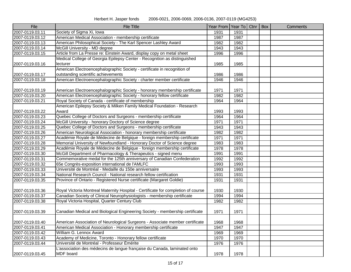| Herbert H. Jasper fonds | 2006-0021, 2006-0069, 2006-0136, 2007-0119 (MG4253) |  |
|-------------------------|-----------------------------------------------------|--|
|-------------------------|-----------------------------------------------------|--|

| File            | <b>File Title</b>                                                                 | Year From Year To Ctnr |      | Box | Comments |
|-----------------|-----------------------------------------------------------------------------------|------------------------|------|-----|----------|
| 2007-0119.03.11 | Society of Sigma Xi, Iowa                                                         | 1931                   | 1931 |     |          |
| 2007-0119.03.12 | American Medical Association - membership certificate                             | 1987                   | 1987 |     |          |
| 2007-0119.03.13 | American Philosophical Society - The Karl Spencer Lashley Award                   | 1982                   | 1982 |     |          |
| 2007-0119.03.14 | McGill University - MD degree                                                     | 1943                   | 1943 |     |          |
| 2007-0119.03.15 | Article from La Presse re: Einstein Award, display copy on metal sheet            | 1996                   | 1996 |     |          |
|                 | Medical College of Georgia Epilepsy Center - Recognition as distinguished         |                        |      |     |          |
| 2007-0119.03.16 | lecturer                                                                          | 1985                   | 1985 |     |          |
|                 | American Electroencephalographic Society - certificate in recognition of          |                        |      |     |          |
| 2007-0119.03.17 | outstanding scientific achievements                                               | 1986                   | 1986 |     |          |
| 2007-0119.03.18 | American Electroencephalographic Society - charter member certificate             | 1946                   | 1946 |     |          |
|                 |                                                                                   |                        |      |     |          |
| 2007-0119.03.19 | American Electroencephalographic Society - honorary membership certificate        | 1971                   | 1971 |     |          |
| 2007-0119.03.20 | American Electroencephalographic Society - honorary fellow certificate            | 1982                   | 1982 |     |          |
| 2007-0119.03.21 | Royal Society of Canada - certificate of membership                               | 1964                   | 1964 |     |          |
|                 | American Epilepsy Society & Milken Family Medical Foundation - Research           |                        |      |     |          |
| 2007-0119.03.22 | Award                                                                             | 1993                   | 1993 |     |          |
| 2007-0119.03.23 | Quebec College of Doctors and Surgeons - membership certificate                   | 1964                   | 1964 |     |          |
| 2007-0119.03.24 | McGill University - honorary Doctory of Science degree                            | 1971                   | 1971 |     |          |
| 2007-0119.03.25 | Quebec College of Doctors and Surgeons - membership certificate                   | 1943                   | 1943 |     |          |
| 2007-0119.03.26 | American Neurological Association - honorary membership certificate               | 1982                   | 1982 |     |          |
| 2007-0119.03.27 | Académie Royale de Médecine de Belgique - foreign membership certificate          | 1971                   | 1971 |     |          |
| 2007-0119.03.28 | Memorial University of Newfoundland - Honorary Doctor of Science degree           | 1983                   | 1983 |     |          |
| 2007-0119.03.29 | Académie Royale de Médecine de Belgique - foreign membership certificate          | 1978                   | 1978 |     |          |
| 2007-0119.03.30 | McGill Department of Pharmacology & Therapeutics - signed menu                    | 1991                   | 1991 |     |          |
| 2007-0119.03.31 | Commemorative medal for the 125th anniversary of Canadian Confederation           | 1992                   | 1992 |     |          |
| 2007-0119.03.32 | 65e Congrès-exposition international de l'AMLFC                                   | 1993                   | 1993 |     |          |
| 2007-0119.03.33 | Université de Montréal - Medaille du 150e anniversaire                            | 1993                   | 1993 |     |          |
| 2007-0119.03.34 | National Research Council - National research fellow certification                | 1931                   | 1931 |     |          |
| 2007-0119.03.35 | Province of Ontario - Registered Nurse certificate (Margaret Goldie)              | 1931                   | 1931 |     |          |
|                 |                                                                                   |                        |      |     |          |
| 2007-0119.03.36 | Royal Victoria Montreal Maternity Hospital - Certificate for completion of course | 1930                   | 1930 |     |          |
| 2007-0119.03.37 | Canadian Society of Clinical Neurophysiologists - membership certificate          | 1994                   | 1994 |     |          |
| 2007-0119.03.38 | Royal Victoria Hospital, Quarter Century Club                                     | 1982                   | 1982 |     |          |
| 2007-0119.03.39 | Canadian Medical and Biological Engineering Society - membership certificate      | 1971                   | 1971 |     |          |
| 2007-0119.03.40 | American Association of Neurological Surgeons - Associate member certificate      | 1968                   | 1968 |     |          |
| 2007-0119.03.41 | American Medical Association - Honorary membership certificate                    | 1947                   | 1947 |     |          |
| 2007-0119.03.42 | William G. Lennox Award                                                           | 1969                   | 1969 |     |          |
| 2007-0119.03.43 | Academy of Medicine, Toronto - Honorary fellow certificate                        | 1970                   | 1970 |     |          |
| 2007-0119.03.44 | Université de Montréal - Professeur Émérite                                       | 1976                   | 1976 |     |          |
|                 | L'association des médecins de langue française du Canada, laminated onto          |                        |      |     |          |
| 2007-0119.03.45 | <b>MDF</b> board                                                                  | 1978                   | 1978 |     |          |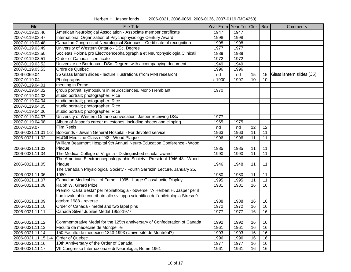| File                | <b>File Title</b>                                                                 | Year From Year To Ctnr |      |                 | Box             | <b>Comments</b>              |
|---------------------|-----------------------------------------------------------------------------------|------------------------|------|-----------------|-----------------|------------------------------|
| 2007-0119.03.46     | American Neurological Association - Associate member certificate                  | 1947                   | 1947 |                 |                 |                              |
| 2007-0119.03.47     | International Organization of Psychophysiology Century Award                      | 1998                   | 1998 |                 |                 |                              |
| 2007-0119.03.48     | Canadian Congress of Neurological Sciences - Certificate of recognition           | 1998                   | 1998 |                 |                 |                              |
| 2007-0119.03.49     | University of Western Ontario - DSc. Degree                                       | 1977                   | 1977 |                 |                 |                              |
| 2007-0119.03.50     | Societas Polona pro Electroencephalographia et Neurophysiologia Clinicali         | 1989                   | 1989 |                 |                 |                              |
| 2007-0119.03.51     | Order of Canada - certificate                                                     | 1972                   | 1972 |                 |                 |                              |
| 2007-0119.03.52     | Université de Bordeaux - DSc. Degree, with accompanying document                  | 1949                   | 1949 |                 |                 |                              |
| 2007-0119.03.53     | Ordre de Québec                                                                   | 1996                   | 1996 |                 |                 |                              |
| 2006-0069.04        | 36 Glass lantern slides - lecture illustrations (from MNI research)               | nd                     | nd   | 15              |                 | 15 Glass lantern slides (36) |
| 2007-0119.04        | Photographs                                                                       | c. 1900                | 1997 | $\overline{10}$ | 10              |                              |
| 2007-0119.04.01     | meeting in Rome                                                                   |                        |      |                 |                 |                              |
| 2007-0119.04.02     | group portrait, symposium in neurosciences, Mont-Tremblant                        | 1970                   |      |                 |                 |                              |
| 2007-0119.04.03     | studio portrait; photographer: Rice                                               |                        |      |                 |                 |                              |
| 2007-0119.04.04     | studio portrait; photographer: Rice                                               |                        |      |                 |                 |                              |
| 2007-0119.04.05     | studio portrait; photographer: Rice                                               |                        |      |                 |                 |                              |
| 2007-0119.04.06     | studio portrait; photographer: Rice                                               |                        |      |                 |                 |                              |
| 2007-0119.04.07     | University of Western Ontario convocation; Jasper receiving DSc                   | 1977                   |      |                 |                 |                              |
| 2007-0119.04.08     | Album of Jasper's career milestones, including photos and clipping                | 1965                   | 1975 |                 |                 |                              |
| 2007-0119.07        | <b>Film Reels</b>                                                                 | nd                     | nd   | 12              | 12              |                              |
| 2006-0021.11.01.1-2 | Bookends - Jewish General Hospital - For devoted service                          | 1963                   | 1963 | 11              | 11              |                              |
| 2006-0021.11.02     | McGill Medicine Class of '43 - Wood Plaque                                        | 1996                   | 1996 | $\overline{11}$ | $\overline{11}$ |                              |
|                     | William Beaumont Hospital 9th Annual Neuro-Education Conference - Wood            |                        |      |                 |                 |                              |
| 2006-0021.11.03     | Plaque                                                                            | 1985                   | 1985 | 11              | 11              |                              |
| 2006-0021.11.04     | The Medical College of Virginia - Distinguished scholar award                     | 1990                   | 1990 | $\overline{11}$ | $\overline{11}$ |                              |
|                     | The American Electroencephalographic Society - President 1946-48 - Wood           |                        |      |                 |                 |                              |
| 2006-0021.11.05     | Plaque                                                                            | 1946                   | 1948 | 11              | 11              |                              |
|                     | The Canadain Physiological Society - Fourth Sarrazin Lecture, January 25,         |                        |      |                 |                 |                              |
| 2006-0021.11.06     | 1980                                                                              | 1980                   | 1980 | 11              | 11              |                              |
| 2006-0021.11.07     | Canadian Medical Hall of Fame - 1995 - Large Glass/Lucite Display                 | 1995                   | 1995 | 11              | 11              |                              |
| 2006-0021.11.08     | Ralph W. Girard Prize                                                             | 1981                   | 1981 | 16              | 16              |                              |
|                     | Premio "Carla Besta" per l'epilettologia - obverse; "A Herbert H. Jasper per il   |                        |      |                 |                 |                              |
|                     | Luo invalutabile contributo allo sviluppo scientifico dell'epilettologia Stresa 9 |                        |      |                 |                 |                              |
| 2006-0021.11.09     | ottobre 1988 - reverse                                                            | 1988                   | 1988 | 16              | 16              |                              |
| 2006-0021.11.10     | Order of Canada - medal and two lapel pins                                        | 1972                   | 1972 | 16              | 16              |                              |
| 2006-0021.11.11     | Canada Silver Jubilee Medal 1952-1977                                             | 1977                   | 1977 | $\overline{16}$ | 16              |                              |
|                     |                                                                                   |                        |      |                 |                 |                              |
| 2006-0021.11.12     | Commemorative Medal for the 125th anniversary of Confederation of Canada          | 1992                   | 1992 | 16              | 16              |                              |
| 2006-0021.11.13     | Faculté de médecine de Montpellier                                                | 1961                   | 1961 | $\overline{16}$ | 16              |                              |
| 2006-0021.11.14     | 150 Faculté de médecine 1843-1993 (Université de Montréal?)                       | 1993                   | 1993 | $\overline{16}$ | 16              |                              |
| 2006-0021.11.15.1-4 | Order of Quebec                                                                   | 1996                   | 1996 | $\overline{16}$ | $\overline{16}$ |                              |
| 2006-0021.11.16     | 10th Anniversary of the Order of Canada                                           | 1977                   | 1977 | 16              | 16              |                              |
| 2006-0021.11.17     | VII Congresso Internazionale di Neurologia, Rome 1961                             | 1961                   | 1961 | 16              | 16              |                              |

Herbert H. Jasper fonds 2006-0021, 2006-0069, 2006-0136, 2007-0119 (MG4253)